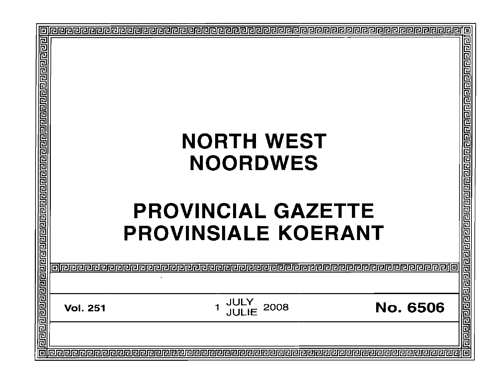| E                                                                                               |                 |                                                                                                 |                 | 回                                                                                                                      |
|-------------------------------------------------------------------------------------------------|-----------------|-------------------------------------------------------------------------------------------------|-----------------|------------------------------------------------------------------------------------------------------------------------|
| <u> बिगरावे बाय प्रवाण ने संस्कृत पर संस्कृत पर संस्कृत कारण का बार पर संस्कृत पर संस्कृत प</u> |                 | <b>NORTH WEST</b><br><b>NOORDWES</b><br><b>PROVINCIAL GAZETTE</b><br><b>PROVINSIALE KOERANT</b> |                 | <u> ग्रंथ बांबा ने ग्रंथ भाग ने ग्रंथ ने ग्रंथ ने ग्रंथ ने ग्रंथ ने ग्रंथ ने ग्रंथ ने ग्रंथ ने ग्रंथ ने ग्रंथ ने ग</u> |
|                                                                                                 |                 |                                                                                                 |                 |                                                                                                                        |
|                                                                                                 |                 |                                                                                                 |                 |                                                                                                                        |
|                                                                                                 | <b>Vol. 251</b> | <b>JULY<br/>JULIE</b><br>2008<br>1                                                              | <b>No. 6506</b> |                                                                                                                        |
|                                                                                                 |                 |                                                                                                 |                 |                                                                                                                        |
| o                                                                                               |                 |                                                                                                 |                 |                                                                                                                        |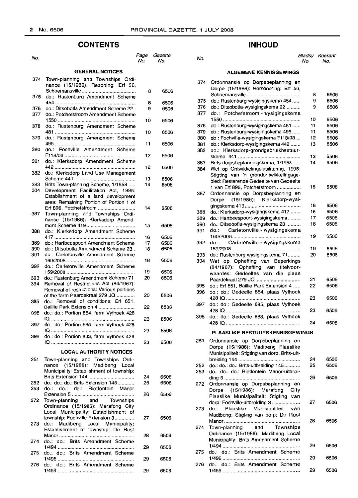## **CONTENTS**

| No.        |                                                                                     | Page<br>No. | Gazette<br>No. |
|------------|-------------------------------------------------------------------------------------|-------------|----------------|
|            | <b>GENERAL NOTICES</b>                                                              |             |                |
| 374        | Town-planning and Townships Ordi-<br>nance (15/1986): Rezoning: Erf 56,             |             |                |
| 375        | do.: Rustenburg Amendment Scheme                                                    | 8<br>8      | 6506<br>6506   |
| 376<br>377 | do.: Ditsobotla Amendment Scheme 22.<br>do.: Potchefstroom Amendment Scheme         | 9           | 6506           |
| 378        | do.: Rustenburg Amendment Scheme                                                    | 10          | 6506           |
| 379        | do.: Rustenburg Amendment Scheme                                                    | 10          | 6506           |
| 380        | do.: Fochville Amendment Scheme                                                     | 11<br>12    | 6506<br>6506   |
| 381        | do.: Klerksdorp Amendment Scheme                                                    | 12          | 6506           |
| 382        | do.: Klerksdorp Land Use Management                                                 | 13          | 6506           |
| 383        | Brits Town-planning Scheme, 1/1958                                                  | 14          | 6506           |
| 384        | Development Facilitation Act,<br>1995:<br>Establishment of a land development       |             |                |
|            | area: Remaining Portion of Portion 1 of<br>Erf 896, Potchefstroom                   | 14          | 6506           |
| 387        | Town-planning and Townships Ordi-<br>nance (15/1986): Klerksdorp Amend-             |             |                |
| 388        | do.: Klerksdorp Amendment Scheme                                                    | 15          | 6506           |
|            |                                                                                     | 16          | 6506           |
| 389        | do.: Hartbeespoort Amendment Scheme                                                 | 17          | 6506           |
| 390<br>391 | do.: Ditsobotla Amendment Scheme 23.<br>do.: Carletonville Amendment Scheme         | 18          | 6506           |
| 392        | do.: Carletonville Amendment Scheme                                                 | 18          | 6506           |
| 393        | do.: Rustenburg Amendment Scheme 71                                                 | 19<br>20    | 6506<br>6506   |
| 394        | Removal of Restrictions Act (84/1967):<br>Removal of restrictions: Various portions |             |                |
| 395        | of the farm Paardekraal 279 JQ<br>do.: Removal of conditions: Erf 651,              | 20          | 6506           |
| 396        | Baillie Park Extension 4<br>do.: do.: Portion 864, farm Vyfhoek 428                 | 22          | 6506           |
| 397        | do.: do.: Portion 685, farm Vyfhoek 428                                             | 23          | 6506           |
| 398        | <u> IQ ………………………………………………</u><br>do.: do.: Portion 883, farm Vyfhoek 428            | 23          | 6506           |
|            | <b>LOCAL AUTHORITY NOTICES</b>                                                      | 23          | 6506           |
| 251        | Town-planning and Townships Ordi-                                                   |             |                |
|            | nance (15/1986): Madibeng Local<br>Municipality: Establishment of township:         |             |                |
|            |                                                                                     | 24          | 6506           |
| 252<br>253 | do.: do.: do.: Brits Extension 145<br>do.: do.: Rietfontein Manor<br>do.:           | 25          | 6506           |
| 272        | Town-planning and Townships<br>Ordinance (15/1986): Merafong City                   | 26          | 6506           |
|            | Local Municipality: Establishment of<br>township: Fochville Extension 3             | 27          | 6506           |
| 273        | do.: Madibeng Local Municipality:<br>Establishment of township: De Rust             | 28          | 6506           |
| 274        | do.: do.: Brits Amendment Scheme                                                    | 29          | 6506           |
| 275        | do.: do.: Brits Amendment Scheme                                                    |             |                |
| 276        | do.: do.: Brits Amendment Scheme                                                    | 29          | 6506           |
|            |                                                                                     | 29          | 6506           |

## **INHOUD**

# No. No. No. Bladsy Koerant No. No.

### **ALGEMENE KENNISGEWINGS**

| 374 | Ordonnansie op Dorpsbeplanning en<br>Dorpe (15/1986): Hersonering: Erf 56, |    |      |
|-----|----------------------------------------------------------------------------|----|------|
|     |                                                                            |    |      |
|     |                                                                            | 8  | 6506 |
| 375 | do.: Rustenburg-wysigingskema 454                                          | 9  | 6506 |
| 376 | do.: Ditsobotla-wysigingskema 22                                           | 9  | 6506 |
| 377 | do.: Potchefstroom - wysigingskema                                         |    |      |
|     |                                                                            | 10 | 6506 |
| 378 | do.: Rustenburg-wysigingskema 481                                          | 11 | 6506 |
| 379 | do.: Rustenburg-wysigingskema 495                                          | 11 | 6506 |
| 380 | do.: Fochville-wysigingskema F118/08                                       | 12 | 6506 |
|     |                                                                            |    |      |
| 381 | do.: Klerksdorp-wysigingskema 442                                          | 13 | 6506 |
| 382 | do.: Klerksdorp-grondgebruikbestuur-                                       |    |      |
|     |                                                                            | 13 | 6506 |
| 383 | Brits-dorpsbeplanningskema, 1/1958                                         | 14 | 6506 |
| 384 | Wet op Ontwikkelingsfasilitering, 1995:                                    |    |      |
|     | Stigting van 'n grondontwikkelingsge-                                      |    |      |
|     | bied: Resterende Gedeelte van Gedeelte                                     |    |      |
|     | 1 van Erf 896, Potchefstroom                                               | 15 | 6506 |
|     |                                                                            |    |      |
| 387 | Ordonnansie op Dorpsbeplanning en                                          |    |      |
|     | (15/1986): Klerksdorp-wysi-<br>Dorpe                                       |    |      |
|     |                                                                            | 16 | 6506 |
| 388 | do.: Klerksdorp-wysigingskema 417                                          | 16 | 6506 |
| 389 | do.: Hartbeespoort-wysigingskema                                           | 17 | 6506 |
| 390 | do.: Ditsobotla-wysigingskema 23                                           | 18 | 6506 |
| 391 | Carletonville - wysigingskema<br>do.:                                      |    |      |
|     |                                                                            | 19 | 6506 |
|     |                                                                            |    |      |
| 392 | Carletonville - wysigingskema<br>do.:                                      |    |      |
|     |                                                                            | 19 | 6506 |
| 393 | do.: Rustenburg-wysigingskema 71                                           | 20 | 6506 |
| 394 | Wet op Opheffing van Beperkings                                            |    |      |
|     | (84/1967): Opheffing van titelvoor-                                        |    |      |
|     | waardes: Gedeeltes van die plaas                                           |    |      |
|     | Paardekraal 279 JQ                                                         | 21 | 6506 |
| 395 | do.: Erf 651, Baillie Park Extension 4                                     | 22 | 6506 |
|     |                                                                            |    |      |
| 396 | do.: do.: Gedeelte 864, plaas Vyfhoek                                      |    |      |
|     | 428 IQ                                                                     | 23 | 6506 |
| 397 | do.: do.: Gedeelte 685, plaas Vyfhoek                                      |    |      |
|     |                                                                            | 23 | 6506 |
| 398 | do.: do.: Gedeelte 883, plaas Vyfhoek                                      |    |      |
|     |                                                                            | 24 | 6506 |
|     |                                                                            |    |      |
|     | PLAASLIKE BESTUURSKENNISGEWINGS                                            |    |      |
| 251 | Ordonnansie op Dorpsbeplanning en                                          |    |      |
|     | Dorpe (15/1986): Madibeng Plaaslike                                        |    |      |
|     |                                                                            |    |      |
|     | Munisipaliteit: Stigting van dorp: Brits-uit-                              |    |      |
|     |                                                                            | 24 | 6506 |
| 252 | do.: do.: do.: Brits-uitbreiding 145                                       | 25 | 6506 |
| 253 | do.: do.: do.: Rietfontein Manor-uitbrei-                                  |    |      |
|     |                                                                            | 26 | 6506 |
| 272 | Ordonnansie op Dorpsbeplanning en                                          |    |      |
|     | $(15/1986)$ :<br>Merafong<br>Dorpe<br>City                                 |    |      |
|     |                                                                            |    |      |
|     | Plaaslike Munisipaliteit: Stigting van                                     |    |      |
|     | dorp: Fochville-uitbreiding 3                                              | 27 | 6506 |
| 273 | Munisipaliteit<br>do.:<br>Plaaslike<br>van                                 |    |      |
|     | Madibeng: Stigting van dorp: De Rust                                       |    |      |
|     |                                                                            | 28 | 6506 |
| 274 | Town-planning and<br>Townships                                             |    |      |
|     | Ordinance (15/1986): Madibeng Local                                        |    |      |
|     | Municipality: Brits Amendment Scheme                                       |    |      |
|     |                                                                            | 29 | 6506 |
|     |                                                                            |    |      |
| 275 | do.: do.: Brits Amendment Scheme                                           |    |      |
|     |                                                                            | 29 | 6506 |
| 276 | do.: do.: Brits Amendment Scheme                                           |    |      |
|     |                                                                            | 29 | 6506 |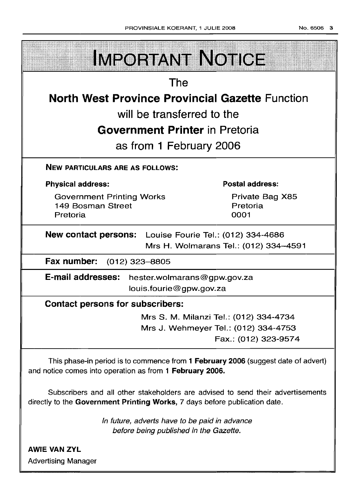| <b>IMPORTANT NOTICE</b>                                                                                                                                       |                                        |  |
|---------------------------------------------------------------------------------------------------------------------------------------------------------------|----------------------------------------|--|
| The                                                                                                                                                           |                                        |  |
| <b>North West Province Provincial Gazette Function</b>                                                                                                        |                                        |  |
| will be transferred to the                                                                                                                                    |                                        |  |
| <b>Government Printer</b> in Pretoria                                                                                                                         |                                        |  |
| as from 1 February 2006                                                                                                                                       |                                        |  |
| <b>NEW PARTICULARS ARE AS FOLLOWS:</b>                                                                                                                        |                                        |  |
| <b>Physical address:</b>                                                                                                                                      | Postal address:                        |  |
| <b>Government Printing Works</b><br>149 Bosman Street<br>Pretoria                                                                                             | Private Bag X85<br>Pretoria<br>0001    |  |
| <b>New contact persons:</b> Louise Fourie Tel.: (012) 334-4686<br>Mrs H. Wolmarans Tel.: (012) 334-4591                                                       |                                        |  |
| Fax number: (012) 323-8805                                                                                                                                    |                                        |  |
| E-mail addresses:<br>hester.wolmarans@gpw.gov.za<br>louis.fourie@gpw.gov.za                                                                                   |                                        |  |
| <b>Contact persons for subscribers:</b>                                                                                                                       |                                        |  |
|                                                                                                                                                               | Mrs S. M. Milanzi Tel.: (012) 334-4734 |  |
|                                                                                                                                                               | Mrs J. Wehmeyer Tel.: (012) 334-4753   |  |
|                                                                                                                                                               | Fax.: (012) 323-9574                   |  |
| This phase-in period is to commence from 1 February 2006 (suggest date of advert)<br>and notice comes into operation as from 1 February 2006.                 |                                        |  |
| Subscribers and all other stakeholders are advised to send their advertisements<br>directly to the Government Printing Works, 7 days before publication date. |                                        |  |
| In future, adverts have to be paid in advance<br>before being published in the Gazette.                                                                       |                                        |  |

**AWIE VAN ZYL Advertising Manager**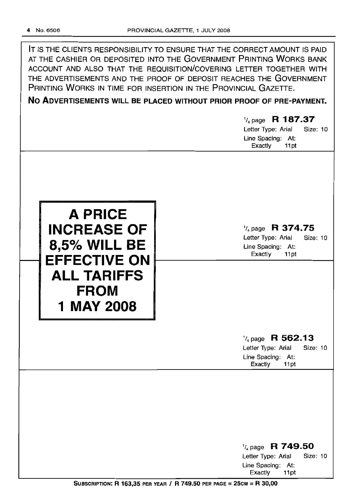| IT IS THE CLIENTS RESPONSIBILITY TO ENSURE THAT THE CORRECT AMOUNT IS PAID |
|----------------------------------------------------------------------------|
| AT THE CASHIER OR DEPOSITED INTO THE GOVERNMENT PRINTING WORKS BANK        |
| ACCOUNT AND ALSO THAT THE REQUISITION/COVERING LETTER TOGETHER WITH        |
| THE ADVERTISEMENTS AND THE PROOF OF DEPOSIT REACHES THE GOVERNMENT         |
| PRINTING WORKS IN TIME FOR INSERTION IN THE PROVINCIAL GAZETTE.            |
| No Aburbaracuruto WILL BE BLACED WITHOUT BRIAD BROOF OF BBE BAYMENT        |

**No ADVERTISEMENTS WILL BE PLACED WITHOUT PRIOR PROOF OF PRE-PAYMENT.**

## 1/4 page **R 187.37** Letter Type: Arial Size: 10

Line Spacing: At: Exactly 11 pt



## 1/4 page **R 374.75**

Letter Type: Arial Size: 10 Line Spacing: At: Exactly 11 pt

## 1/4 page **R 562.13** Letter Type: Arial Size: 10

Line Spacing: At: Exactly 11pt

1/4 page **R 749.50** Letter Type: Arial Size: 10 Line Spacing: At: Exactly 11 pt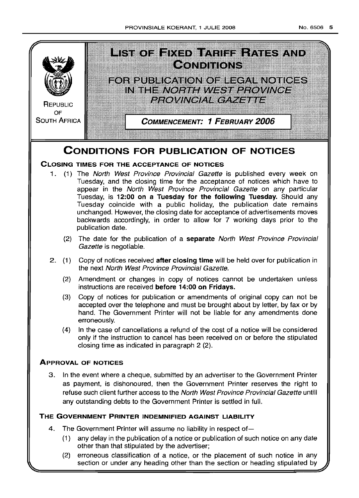

## **CONDITIONS FOR PUBLICATION OF NOTICES**

## CLOSING TIMES FOR THE ACCEPTANCE OF NOTICES

- 1. (1) The North West Province Provincial Gazette is published every week on Tuesday, and the closing time for the acceptance of notices which have to appear in the North West Province Provincial Gazette on any particular Tuesday, is 12:00 on a Tuesday for the following Tuesday. Should any Tuesday coincide with a public holiday, the publication date remains unchanged However, the closing date for acceptance of advertisements moves backwards accordingly, in order to allow for 7 working days prior to the publication date.
	- (2) The date for the publication of a separate North West Province Provincial Gazette is negotiable.
- 2. (1) Copy of notices received after closing time will be held over for publication in the next North West Province Provincial Gazette.
	- (2) Amendment or changes in copy of notices cannot be undertaken unless instructions are received before 14:00 on Fridays.
	- (3) Copy of notices for publication or amendments of original copy can not be accepted over the telephone and must be brought about by letter, by fax or by hand. The Government Printer will not be liable for any amendments done erroneously.
	- (4) In the case of cancellations a refund of the cost of a notice will be considered only if the instruction to cancel has been received on or before the stipulated closing time as indicated in paragraph 2 (2)

## ApPROVAL OF NOTICES

3 In the event where a cheque, submitted by an advertiser to the Government Printer as payment, is dishonoured, then the Government Printer reserves the right to refuse such client further access to the North West Province Provincial Gazette untill any outstanding debts to the Government Printer is settled in full

## THE GOVERNMENT PRINTER INDEMNIFIED AGAINST LIABILITY

- 4. The Government Printer will assume no liability in respect of-
	- (1) any delay in the publication of a notice or publication of such notice on any date other than that stipulated by the advertiser;
	- (2) erroneous classification of a notice, or the placement of such notice in any section or under any heading other than the section or heading stipulated by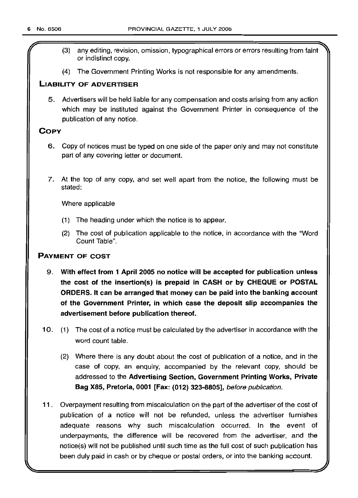- (3) any editing, revision, omission, typographical errors or errors resulting from faint or indistinct copy.
- (4) The Government Printing Works is not responsible for any amendments.

## LIABILITY OF ADVERTISER

5. Advertisers will be held liable for any compensation and costs arising from any action which may be instituted against the Government Printer in consequence of the publication of any notice.

## **COPY**

- 6. Copy of notices must be typed on one side of the paper only and may not constitute part of any covering letter or document.
- 7. At the top of any copy, and set well apart from the notice, the following must be stated:

Where applicable

- (1) The heading under which the notice is to appear.
- (2) The cost of publication applicable to the notice, in accordance with the "Word Count Table".

## PAYMENT OF COST

- 9. With effect from 1 April 2005 no notice will be accepted for publication unless the cost of the insertion(s) is prepaid in CASH or by CHEQUE or POSTAL ORDERS. It can be arranged that money can be paid into the banking account of the Government Printer, in which case the deposit slip accompanies the advertisement before publication thereof.
- 10. (1) The cost of a notice must be calculated by the advertiser in accordance with the word count table.
	- (2) Where there is any doubt about the cost of publication of a notice, and in the case of copy, an enquiry, accompanied by the relevant copy, should be addressed to the Advertising Section, Government Printing Works, Private Bag X85, Pretoria, 0001 [Fax: (012) 323-8805], before publication.
- 11. Overpayment resulting from miscalculation on the part of the advertiser of the cost of publication of a notice will not be refunded, unless the advertiser furnishes adequate reasons why such miscalculation occurred. In the event of underpayments, the difference will be recovered from the advertiser, and the notice(s) will not be published until such time as the full cost of such publication has been duly paid in cash or by cheque or postal orders, or into the banking account.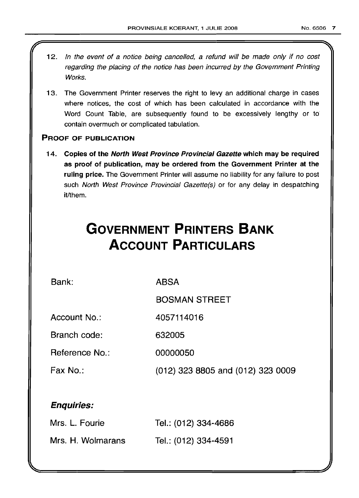- 12. In the event of a notice being cancelled, a refund will be made only if no cost regarding the placing of the notice has been incurred by the Government Printing Works.
- 13. The Government Printer reserves the right to levy an additional charge in cases where notices, the cost of which has been calculated in accordance with the Word Count Table, are subsequently found to be excessively lengthy or to contain overmuch or complicated tabulation.

## PROOF OF PUBLICATION

14. Copies of the North West Province Provincial Gazette which may be required as proof of publication, may be ordered from the Government Printer at the ruling price. The Government Printer will assume no liability for any failure to post such North West Province Provincial Gazette(s) or for any delay in despatching it/them.

# **GOVERNMENT PRINTERS BANK ACCOUNT PARTICULARS**

Bank:

ABSA

BOSMAN STREET

Account No.: 4057114016

Branch code:

Reference No.: 00000050

Fax No.: (012) 323 8805 and (012) 323 0009

632005

## Enquiries:

| Mrs. L. Fourie    | Tel.: (012) 334-4686 |
|-------------------|----------------------|
| Mrs. H. Wolmarans | Tel.: (012) 334-4591 |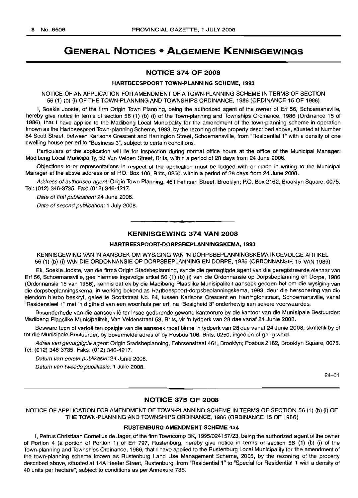## GENERAL NOTICES • ALGEMENE KENNISGEWINGS

#### NOTICE 374 OF 2008

#### HARTBEESPOORT TOWN-PLANNING SCHEME, 1993

NOTICE OF AN APPLICATION FOR AMENDMENT OF A TOWN-PLANNING SCHEME IN TERMS OF SECTION 56 (1) (b) (i) OF THE TOWN-PLANNING AND TOWNSHIPS ORDINANCE, 1986 (ORDINANCE 15 OF 1986)

I, Soekie Jooste, of the firm Origin Town Planning, being the authorized agent of the owner of Erf 56, Schoemansville, hereby give notice in terms of section 56 (1) (b) (i) of the Town-planning and Townships Ordinance, 1986 (Ordinance 15 of 1986), that I have applied to the Madibeng Local Muncipality for the amendment of the town-planning scheme in operation known as the Hartbeespoort Town-planning Scheme, 1993, by the rezoning of the property described above, situated at Number 84 Scott Street, between Karlsons Crescent and Harrington Street, Schoemansville, from "Residential 1" with a density of one dwelling house per erf to "Business 3", subject to certain conditions.

Particulars of the application will lie for inspection during normal office hours at the office of the Municipal Manager: Madibeng Local Municipality, 53 Van Velden Street, Brits, within a period of 28 days from 24 June 2008.

Objections to or representations in respect of the application must be lodged with or made in writing to the Municipal Manager at the above address or at P.O. Box 106, Brits, 0250, within a period of 28 days from 24 June 2008.

Address of authorised agent: Origin Town Planning, 461 Fehrsen Street, Brooklyn; P.O. Box 2162, Brooklyn Square, 0075. Tel: (012) 346-3735. Fax: (012) 346-4217.

Date of first publication: 24 June 2008.

Date of second publication: 1 July 2008.

## KENNISGEWING 374 VAN 2008

.**-.**

#### HARTBEESPOORT-DORPSBEPLANNINGSKEMA, 1993

KENNISGEWING VAN 'N AANSOEK OM WYSIGING VAN 'N DORPSBEPLANNINGSKEMA INGEVOLGE ARTIKEL 56 (1) (b) (i) VAN DIE ORDONNANSIE OP DORPSBEPLANNING EN DORPE, 1986 (ORDONNANSIE 15 VAN 1986)

Ek, Soekie Jooste, van die firma Origin Stadsbeplanning, synde die gemagtigde agent van die geregistreerde eienaar van Erf 56, Schoemansville, gee hiermee ingevolge artkel 56 (1) (b) (i) van die Ordonnansie op Dorpsbeplanning en Dorpe, 1986 (Ordonnansie 15 van 1986), kennis dat ek by die Madibeng Plaaslike Munisipaliteit aansoek gedoen het om die wysiging van die dorpsbeplanningskema, in werking bekend as Hartbeespoort-dorpsbeplanningskema, 1993, deur die hersonering van die eiendom hierbo beskryf, geleë te Scottstraat No. 84, tussen Karlsons Crescent en Harringtonstraat, Schoemansville, vanaf "Residensieel 1" met 'n digtheid van een woonhuis per erf, na "Besigheid 3" onderhewig aan sekere voorwaardes.

Besonderhede van die aansoek Ie ter insae gedurende gewone kantoorure by die kantoor van die Munisipale Bestuurder: Madibeng Plaaslike Munisipaliteit, Van Veldenstraat 53, Brits, vir 'n tydperk van 28 dae vanaf 24 Junie 2008.

Besware teen of vertoë ten opsigte van die aansoek moet binne 'n tydperk van 28 dae vanaf 24 Junie 2008, skriftelik by of tot die Munisipale Bestuurder, by bovermelde adres of by Posbus 106, Brits, 0250, ingedien of gerig word.

Adres van gemagtigde agent: Origin Stadsbeplanning, Fehrsenstraat 461, Brooklyn; Posbus 2162, Brooklyn Square, 0075. Tel: (012) 346-3735. Faks: (012) 346-4217.

Datum van eerste publikasie: 24 Junie 2008. Datum van tweede publikasie: 1 Julie 2008.

 $24 - 01$ 

#### NOTICE 375 OF 2008

NOTICE OF APPLICATION FOR AMENDMENT OF TOWN-PLANNING SCHEME IN TERMS OF SECTION 56 (1) (b) (i) OF THE TOWN-PLANNING AND TOWNSHIPS ORDINANCE, 1986 (ORDINANCE 15 OF 1986)

### RUSTENBURG AMENDMENT SCHEME 454

I, Petrus Christiaan Cornelius de Jager, of the firm Towncomp BK, 1995/024157/23, being the authorized agent of the owner of Portion 4 (a portion of Portion 1) of Erf 797, Rustenburg, hereby give notice in terms of section 56 (1) (b) (i) of the Town-planning and Townships Ordinance, 1986, that I have applied to the Rustenburg Local Municipality for the amendment of the town-planning scheme known as Rustenburg Land Use Management Scheme, 2005, by the rezoning of the property described above, situated at 14A Heefer Street, Rustenburg, from "Residential 1" to "Special for Residential 1 with a density of 40 units per hectare", subject to conditions as per Annexure 736.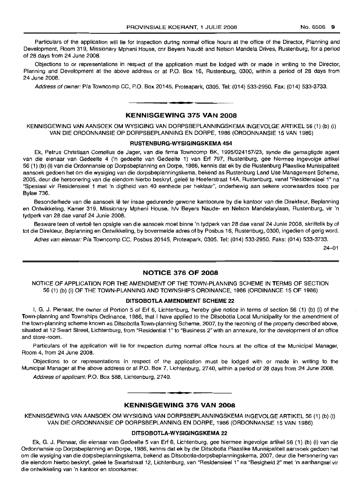Particulars of the application will lie for inspection during normal office hours at the office of the Director, Planning and Development, Room 319, Missionary Mpheni House, cnr Beyers Naude and Nelson Mandela Drives, Rustenburg, for a period of 28 days from 24 June 2008.

Objections to or representations in respect of the application must be lodged with or made in writing to the Director, Planning and Development at the above address or at P.O. Box 16, Rustenburg, 0300, within a period of 28 days from 24 June 2008.

Address of owner: PIa Towncomp CC, P.O. Box 20145, Proteapark, 0305. Tel: (014) 533-2950. Fax: (014) 533-3733.

## KENNISGEWING 375 VAN 2008

**•**

KENNISGEWING VAN AANSOEK OM WYSIGING VAN DORPSBEPLANNINGSKEMA INGEVOLGE ARTIKEL 56 (1) (b) (i) VAN DIE ORDONNANSIE OP DORPSBEPLANNING EN DORPE, 1986 (ORDONNANSIE 15 VAN 1986)

#### RUSTENBURG-WYSIGINGSKEMA 454

Ek, Petrus Christiaan Cornelius de Jager, van die firma Towncomp BK, 1995/024157/23, synde die gemagtigde agent van die eienaar van Gedeelte 4 ('n gedeelte van Gedeelte 1) van Erf 797, Rustenburg, gee hiermee ingevolge artikel 56 (1) (b) (i) van die Ordonnansie op Dorpsbeplanning en Dorpe, 1986, kennis dat ek by die Rustenburg Plaaslike Munisipaliteit aansoek gedoen het om die wysiging van die dorpsbeplanningskema, bekend as Rustenburg Land Use Management Scheme, 2005, deur die hersonering van die eiendom hierbo beskryf, geleë te Heeferstraat 14A, Rustenburg, vanaf "Residensieel 1" na "Spesiaal vir Residensieel 1 met 'n digtheid van 40 eenhede per hektaar", onderhewig aan sekere voorwaardes 5005 per Bylae 736.

Besonderhede van die aansoek lê ter insae gedurende gewone kantoorure by die kantoor van die Direkteur, Beplanning en Ontwikkeling, Kamer 319, Missionary Mpheni House, h/v Beyers Naude- en Nelson Mandelarylaan, Rustenburg, vir 'n tydperk van 28 dae vanaf 24 Junie 2008.

Besware teen of vertoë ten opsigte van die aansoek moet binne 'n tydperk van 28 dae vanaf 24 Junie 2008, skriftelik by of tot die Direkteur, Beplanning en Ontwikkeling, by bovermelde adres of by Posbus 16, Rustenburg, 0300, ingedien of gerig word.

Adres van eienaar: PIa Towncomp CC, Posbus 20145, Proteapark, 0305. Tel: (014) 533-2950. Faks: (014) 533-3733.

24-01

## NOTICE 376 OF 2008

NOTICE OF APPLICATION FOR THE AMENDMENT OF THE TOWN-PLANNING SCHEME IN TERMS OF SECTION 56 (1) (b) (i) OF THE TOWN-PLANNING AND TOWNSHIPS ORDINANCE, 1986 (ORDINANCE 15 OF 1986)

## DITSOBOTLA AMENDMENT SCHEME 22

I, G. J. Pienaar, the owner of Portion 5 of Erf 6, Lichtenburg, hereby give notice in terms of section 56 (1) (b) (i) of the Town-planning and Townships Ordinance, 1986, that I have applied to the Ditsobotla Local Municipality for the amendment of the town-planning scheme known as Ditsobotla Town-planning Scheme, 2007, by the rezoning of the property described above, situated at 12 Swart Street, Lichtenburg, from "Residential 1" to "Business 2" with an annexure, for the development of an office and store-room.

Particulars of the application will lie for inspection during normal office hours at the office of the Municipal Manager, Room 4, from 24 June 2008.

Objections to or representations in respect of the application must be lodged with or made in writing to the Municipal Manager at the above address or at P.O. Box 7, Lichtenburg, 2740, within a period of 28 days from 24 June 2008.

Address of applicant: P.O. Box 588, Lichtenburg, 2740.

## KENNISGEWING 376 VAN 2008

.**- .**

KENNISGEWING VAN AANSOEK OM WYSIGING VAN DORPSBEPLANNINGSKEMA INGEVOLGE ARTIKEL 56 (1) (b) (i) VAN DIE ORDONNANSIE OP DORPSBEPLANNING EN DORPE, 1986 (ORDONNANSIE 15 VAN 1986)

#### DITSOBOTLA-WYSIGINGSKEMA 22

Ek, G. J. Pienaar, die eienaar van Gedeelte 5 van Erf 6, Lichtenburg, gee hiermee ingevolge artikel 56 (1) (b) (i) van die Ordonnansie op Dorpsbeplanning en Dorpe, 1986, kennis dat ek by die Ditsobotla Plaaslike Munisipaliteit aansoek gedoen het om die wysiging van die dorpsbeplanningskema, bekend as Ditsobotla-dorpsbeplanningskema, 2007, deur die hersonering van die eiendom hierbo beskryf, gelee te Swartstraat 12, Lichtenburg, van "Residensieel 1" na "Besigheid 2" met 'n aanhangsel vir die ontwikkeling van 'n kantoor en stoorkamer.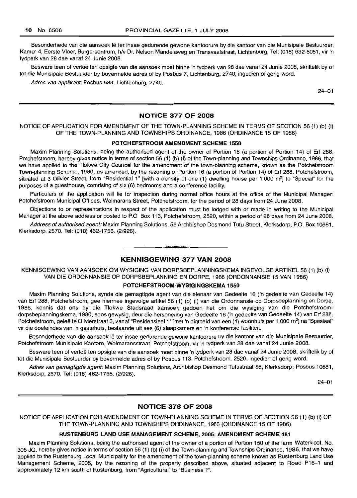Besonderhede van die aansoek lê ter insae gedurende gewone kantoorure by die kantoor van die Munisipale Bestuurder, Kamer 4, Eerste Vloer, Burgersentrum, h/v Dr. Nelson Mandelaweg en Transvaalstraat, Lichtenburg, Tel: (018) 632-5051, vir 'n tydperk van 28 dae vanaf 24 Junie 2008.

Besware teen of vertoe ten opsigte van die aansoek moet binne 'n tydperk van 28 dae vanaf 24 Junie 2008, skriftelik by of tot die Munisipale Bestuurder by bovermelde adres of by Posbus 7, Lichtenburg, 2740, ingedien of gerig word.

Adres van applikant: Posbus 588, Lichtenburg, 2740.

24-01

## NOTICE 377 OF 2008

NOTICE OF APPLICATION FOR AMENDMENT OF THE TOWN-PLANNING SCHEME IN TERMS OF SECTION 56 (1) (b) (i) OF THE TOWN-PLANNING AND TOWNSHIPS ORDINANCE, 1986 (ORDINANCE 15 OF 1986)

## POTCHEFSTROOM AMENDMENT SCHEME 1550

Maxim Planning Solutions, being the authorised agent of the owner of Portion 16 (a portion of Portion 14) of Erf 288, Potchefstroom, hereby gives notice in terms of section 56 (1) (b) (i) of the Town-planning and Townships Ordinance, 1986, that we have applied to the Tlokwe City Councel for the amendment of the town-planning scheme, known as the Potchefstroom Town-planning Scheme, 1980, as amended, by the rezoning of Portion 16 (a portion of Portion 14) of Erf 288, Potchefstroom, situated at 3 Olivier Street, from "Residential 1" [with a density of one (1) dwelling house per 1 000 m<sup>2</sup>] to "Special" for the purposes of a guesthouse, comrising of six (6) bedrooms and a conference facility.

Particulars of the application will lie for inspection during normal office hours at the office of the Municipal Manager: Potchefstroom Municipal Offices, Wolmarans Street, Potchefstroom, for the period of 28 days from 24 June 2008.

Objections to or representations in respect of the application must be lodged with or made in writing to the Municipal Manager at the above address or posted to P.O. Box 113, Potchefstroom, 2520, within a period of 28 days from 24 June 2008.

Address of authorised agent: Maxim Planning Solutions, 56 Archbishop Desmond Tutu Street, Klerksdorp; P.O. Box 10681, Klerksdorp, 2570. Tel: (018) 462-1756. (2/926).

## KENNISGEWING 377 VAN 2008

**• •**

KENNISGEWING VAN AANSOEK OM WYSIGING VAN DORPSBEPLANNINGSKEMA INGEVOLGE ARTIKEL 56 (1) (b) (i) VAN DIE ORDONNANSIE OP DORPSBEPLANNING EN DORPE, 1986 (ORDONNANSIE 15 VAN 1986)

#### POTCHEFSTROOM-WYSIGINGSKEMA 1550

Maxim Planning Solutions, synde die gemagtigde agent van die eienaar van Gedeelte 16 ('n gedeelte van Gedeelte 14) van Erf 288, Potchefstroom, gee hiermee ingevolge artikel 56 (1) (b) (i) van die Ordonnansie op Dorpsbeplanning en Dorpe, 1986, kennis dat ons by die Tlokwe Stadsraad aansoek gedoen het om die wysiging van die Potchefstroomdorpsbeplanningskema, 1980, soos gewysig, deur die hersonering van Gedeelte 16 ('n gedeelte van Gedeelte 14) van Erf 288, Potchefstroom, geleë te Olivierstraat 3, vanaf "Residensieel 1" [met 'n digtheid van een (1) woonhuis per 1 000 m<sup>2</sup>] na "Spesiaal" vir die doeleindes van 'n gastehuis, bestaande uit ses (6) slaapkamers en 'n konferensie fasiliteit.

Besonderhede van die aansoek lê ter insae gedurende gewone kantoorure by die kantoor van die Munisipale Bestuurder, Potchefstroom Munisipale Kantore, Wolmaransstraat, Potchefstroom, vir 'n tydperk van 28 dae vanaf 24 Junie 2008.

Besware teen of vertoë ten opsigte van die aansoek moet binne 'n tydperk van 28 dae vanaf 24 Junie 2008, skriftelik by of tot die Munisipale Bestuurder by bovermelde adres of by Posbus 113, Potchefstroom, 2520, ingedien of gerig word.

Adres van gemagtigde agent: Maxim Planning Solutions, Archbishop Desmond Tutustraat 56, Klerksdorp; Posbus 10681, Klerksdorp, 2570. Tel: (018) 462-1756. (2/926).

24-01

### NOTICE 378 OF 2008

NOTICE OF APPLICATION FOR AMENDMENT OF TOWN-PLANNING SCHEME IN TERMS OF SECTION 56 (1) (b) (i) OF THE TOWN-PLANNING AND TOWNSHIPS ORDINANCE, 1986 (ORDINANCE 15 OF 1986)

#### RUSTENBURG LAND USE MANAGEMENT SCHEME, 2005: AMENDMENT SCHEME 481

Maxim Planning Solutions, being the authorised agent of the owner of a portion of Portion 150 of the farm Waterkloof, No. 305 JQ, hereby gives notice in terms of section 56 (1) (b) (i) of the Town-planning and Townships Ordinance, 1986, that we have applied to the Rustenburg Local Municipality for the amendment of the town-planning scheme known as Rustenburg Land Use Management Scheme, 2005, by the rezoning of the property described above, situated adjacent to Road P16-1 and approximately 12 km south of Rustenburg, from "Agricultural" to "Business 1".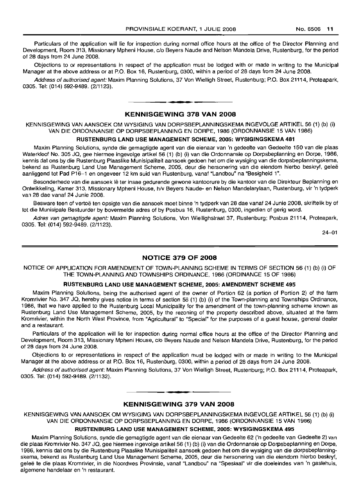Particulars of the application will lie for inspection during normal office hours at the office of the Director Planning and Development, Room 313, Missionary Mpheni House, c/o Beyers Naude and Nelson Mandela Drive, Rustenburg, for the period of 28 days from 24 June 2008.

Objections to or representations in respect of the application must be lodged with or made in writing to the Municipal Manager at the above address or at P.O. Box 16, Rustenburg, 0300, within a period of 28 days from 24 June 2008.

Address of authorised agent: Maxim Planning Solutions, 37 Von Wielligh Street, Rustenburg; P.O. Box 21114, Proteapark, 0305. Tel: (014) 592-9489. (2/1123).

**1\_.**

## KENNISGEWING 378 VAN 2008

KENNISGEWING VAN AANSOEK OM WYSIGING VAN DORPSBEPLANNINGSKEMA INGEVOLGE ARTIKEL 56 (1) (b) (i) VAN DIE ORDONNANSIE OP DORPSBEPLANNING EN DORPE, 1986 (ORDONNANSIE 15 VAN 1986)

## RUSTENBURG LAND USE MANAGEMENT SCHEME, 2005: WYSIGINGSKEMA 481

Maxim Planning Solutions, synde die gemagtigde agent van die eienaar van 'n gedeelte van Gedeelte 150 van die plaas Waterkloof No. 305 JQ, gee hiermee ingevolge artikel 56 (1) (b) (i) van die Ordonnansie op Dorpsbeplanning en Dorpe, 1986, kennis dat ons by die Rustenburg Plaaslike Munisipaliteit aansoek gedoen het om die wysiging van die dorpsbeplanningskema, bekend as Rustenburg Land Use Management Scheme, 2005, deur die hersonering van die eiendom hierbo beskryf, gelee aanliggend tot Pad P16-1 en ongeveer 12 km suid van Rustenburg, vanaf "Landbou" na "Besigheid 1",

Besonderhede van die aansoek lê ter insae gedurende gewone kantoorure by die kantoor van die Direkteur Beplanning en Ontwikkeling, Kamer 313, Missionary Mpheni House, h/v Beyers Naude- en Nelson Mandelarylaan, Rustenburg, vir 'n tydperk van 28 dae vanaf 24 Junie 2008.

Besware teen of vertoë ten opsigte van die aansoek moet binne 'n tydperk van 28 dae vanaf 24 Junie 2008, skriftelik by of tot die Munisipale Bestuurder by bovermelde adres of by Posbus 16, Rustenburg, 0300, ingedien of gerig word.

Adres van gemagtigde agent: Maxim Planning Solutions, Von Wiellighstraat 37, Rustenburg; Posbus 21114, Proteapark, 0305. Tel: (014) 592-9489. (2/1123).

 $24 - 01$ 

### NOTICE 379 OF 2008

NOTICE OF APPLICATION FOR AMENDMENT OF TOWN-PLANNING SCHEME IN TERMS OF SECTION 56 (1) (b) (i) OF THE TOWN-PLANNING AND TOWNSHIPS ORDINANCE, 1986 (ORDINANCE 15 OF 1986)

#### RUSTENBURG LAND USE MANAGEMENT SCHEME, 2005: AMENDMENT SCHEME 495

Maxim Planning Solutions, being the authorised agent of the owner of Portion 62 (a portion of Portion 2) of the farm Kromrivier No. 347 JQ, hereby gives notice in terms of section 56 (1) (b) (i) of the Town-planning and Townships Ordinance, 1986, that we have applied to the Rustenburg Local Municipality for the amendment of the town-planning scheme known as Rustenburg Land Use Management Scheme, 2005, by the rezoning of the property described above, situated at the farm Kromrivier, within the North West Province, from "Agricultural" to "Special" for the purposes of a guest house, general dealer and a restaurant.

Particulars of the application will lie for inspection during normal office hours at the office of the Director Planning and Development, Room 313, Missionary Mpheni House, c/o Beyers Naude and Nelson Mandela Drive, Rustenburg, for the period of 28 days from 24 June 2008.

Objections to or representations in respect of the application must be lodged with or made in writing to the Municipal Manager at the above address or at P.O. Box 16, Rustenburg, 0300, within a period of 28 days from 24 June 2008.

Address of authorised agent: Maxim Planning Solutions, 37 Von Wielligh Street, Rustenburg; P.O. Box 21114, Proteapark, 0305. Tel: (014) 592-9489. (2/1132).

## **•** KENNISGEWING 379 VAN 2008

KENNISGEWING VAN AANSOEK OM WYSIGING VAN DORPSBEPLANNINGSKEMA INGEVOLGE ARTIKEL 56 (1) (b) (i) VAN DIE ORDONNANSIE OP DORPSBEPLANNING EN DORPE, 1986 (ORDONNANSIE 15 VAN 1986)

#### RUSTENBURG LAND USE MANAGEMENT SCHEME, 2005: WYSIGINGSKEMA 495

Maxim Planning Solutions, synde die gemagtigde agent van die eienaar van Gedeelte 62 ('n gedeelte van Gedeelte 2) van die plaas Kromrivier No. 347 JQ, gee hiermee ingevolge artikel 56 (1) (b) (i) van die Ordonnansie op Dorpsbeplanning en Dorpe, 1986, kennis dat ons by die Rustenburg Plaaslike Munisipaliteit aansoek gedoen het om die wysiging van die dorpsbeplanningskema, bekend as Rustenburg Land Use Management Scheme, 2005, deur die hersonering van die eiendom hierbo beskryf, gelee te die plaas Kromrivier, in die Noordwes Provinsie, vanaf "Landbou" na "Spesiaal" vir die doeleindes *van* 'n gastehuis, algemene handelaar en 'n restaurant.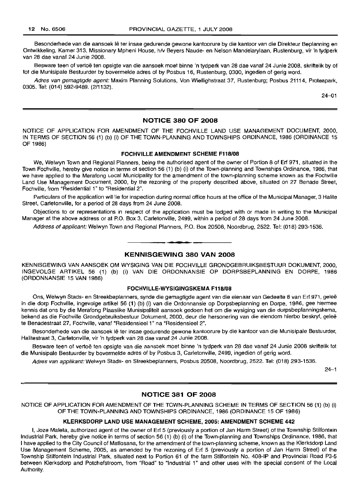Besonderhede van die aansoek Ie ter insae gedurende gewone kantoorure by die kantoor van die Direkteur Beplanning en Ontwikkeling, Kamer 313, Missionary Mpheni House, h/v Beyers Naude- en Nelson Mandelarylaan, Rustenburg, vir 'n tydperk van 28 dae vanaf 24 Junie 2008.

Besware teen of vertoë ten opsigte van die aansoek moet binne 'n tydperk van 28 dae vanaf 24 Junie 2008, skriftelik by of tot die Munisipale Bestuurder by bovermelde adres of by Posbus 16, Rustenburg, 0300, ingedien of gerig word.

Adres van gemagtigde agent: Maxim Planning Solutions, Von Wiellighstraat 37, Rustenburg; Posbus 21114, Proteapark, 0305. Tel: (014) 592-9489. (2/1132).

24-01

## NOTICE 380 OF 2008

NOTICE OF APPLICATION FOR AMENDMENT OF THE FOCHVILLE LAND USE MANAGEMENT DOCUMENT, 2000, IN TERMS OF SECTION 56 (1) (b) (i) OF THE TOWN-PLANNING AND TOWNSHIPS ORDINANCE, 1986 (ORDINANCE 15 OF 1986)

## FOCHVILLE AMENDMENT SCHEME F118/08

We, Welwyn Town and Regional Planners, being the authorised agent of the owner of Portion 8 of Erf 971, situated in the Town Fochville, hereby give notice in terms of section 56 (1) (b) (i) of the Town-planning and Townships Ordinance, 1986, that we have applied to the Merafong Local Municipality for the amendment of the town-planning scheme known as the Fochville Land Use Management Document, 2000, by the rezoning of the property described above, situated on 27 Benade Street, Fochville, from "Residential 1" to "Residential 2".

Particulars of the application will lie for inspection during normal office hours at the office of the Municipal Manager, 3 Halite Street, Carletonville, for a period of 28 days from 24 June 2008.

Objections to or representations in respect of the application must be lodged with or made in writing to the Municipal Manager at the above address or at P.O. Box 3, Carletonville, 2499, within a period of 28 days from 24 June 2008.

Address of applicant: Welwyn Town and Regional Planners, P.O. Box 20508, Noordbrug, 2522. Tel: (018) 293-1536.

## KENNISGEWING 380 VAN 2008

**• •**

KENNISGEWING VAN AANSOEK OM WYSIGING VAN DIE FOCHVILLE GRONDGEBRUIKSBESTUUR DOKUMENT, 2000, INGEVOLGE ARTIKEL 56 (1) (b) (i) VAN DIE ORDONNANSIE OP DORPSBEPLANNING EN DORPE, 1986 (ORDONNANSIE 15 VAN 1986)

#### FOCHVILLE-WVSIGINGSKEMA F118/08

Ons, Welwyn Stads- en Streekbeplanners, synde die gemagtigde agent van die eienaar van Gedeelte 8 van Erf 971, gelee in die dorp Fochville, ingevolge artikel 56 (1) (b) (i) van die Ordonnansie op Dorpsbeplanning en Dorpe, 1986, gee hiermee kennis dat ons by die Merafong Plaaslike Munisipaliteit aansoek gedoen het om die wysiging van die dorpsbeplanningskema, bekend as die Fochville Grondgebruiksbestuur Dokument, 2000, deur die hersonering van die eiendom hierbo beskryf, gelee te Benadestraat 27, Fochville, vanaf "ResidensieeI1" na "Residensieel 2".

Besonderhede van die aansoek lê ter insae gedurende gewone kantoorure by die kantoor van die Munisipale Bestuurder, Halitestraat 3, Carletonville, vir 'n tydperk van 28 dae vanaf 24 Junie 2008.

Besware teen of vertoë ten opsigte van die aansoek moet binne 'n tydperk van 28 dae vanaf 24 Junie 2008 skriftelik tot die Munisipale Bestuurder by bovermelde adres of by Posbus 3, Carletonville, 2499, ingedien of gerig word.

Adres van applikant:Welwyn Stads- en Streekbeplanners, Posbus 20508, Noordbrug, 2522. Tel: (018) 293-1536.

 $24 - 1$ 

### NOTICE 381 OF 2008

NOTICE OF APPLICATION FOR AMENDMENT OF THE TOWN-PLANNING SCHEME IN TERMS OF SECTION 56 (1) (b) (i) OF THE TOWN-PLANNING AND TOWNSHIPS ORDINANCE, 1986 (ORDINANCE 15 OF 1986)

#### KLERKSDORP LAND USE MANAGEMENT SCHEME, 2005: AMENDMENT SCHEME 442

I, Joze Maleta, authorized agent of the owner of Erf 5 (previously a portion of Jan Harm Street) of the Township Stilfontein Industrial Park, hereby give notice in terms of section 56 (1) (b) (i) of the Town-planning and Townships Ordinance, 1986, that I have applied to the City Council of Matlosana, for the amendment of the town-planning scheme, known as the Klerksdorp Land Use Management Scheme, 2005, as amended by the rezoning of Erf 5 (previously a portion of Jan Harm Street) of the Township Stilfontein Industrial Park, situated next to Portion 61 of the farm Stilfontein No. 408-IP and Provincial Road P3-5 between Klerksdorp and Potchefstroom, from "Road" to "Industrial 1" and other uses with the special consent of the Local Authority.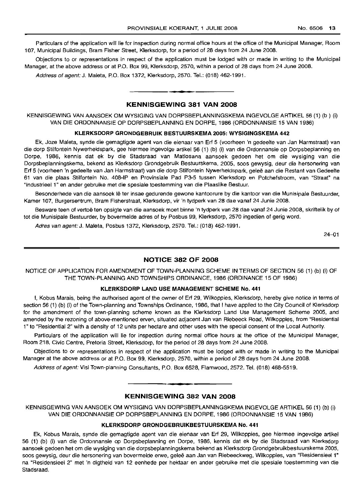Particulars of the application will lie for inspection during normal office hours at the office of the Municipal Manager, Room 107, Municipal Buildings, Bram Fisher Street, Klerksdorp, for a period of 28 days from 24 June 2008.

Objections to or representations in respect of the application must be lodged with or made in writing to the Municipal Manager, at the above address or at P.O. Box 99, Klerksdorp, 2570, within a period of 28 days from 24 June 2008.

Address of agent: J. Maleta, P.O. Box 1372, Klerksdorp, 2570. Tel.: (018) 462-1991.

#### KENNISGEWING 381 VAN 2008

• **• •**

KENNISGEWING VAN AANSOEK OM WYSIGING VAN DORPSBEPLANNINGSKEMA INGEVOLGE ARTIKEL 56 (1) (b ) (i) VAN DIE ORDONNANSIE OP DORPSBEPLANNING EN DORPE, 1986 (ORDONNANSIE 15 VAN 1986)

#### KLERKSDORP GRONDGEBRUIK BESTUURSKEMA 2005: WYSIGINGSKEMA 442

Ek, Joze Maleta, synde die gemagtigde agent van die eienaar van Erf 5 (voorheen 'n gedeelte van Jan Harmstraat) van die dorp Stilfontein Nywerheidspark, gee hiermee ingevolge artikel 56 (1) (b) (i) van die Ordonnansie op Dorpsbeplanning en Dorpe, 1986, kennis dat ek by die Stadsraad van Matlosana aansoek gedoen het om die wysiging van die Dorpsbeplanningskema, bekend as Klerksdorp Grondgebruik Bestuurskema, 2005, soos gewysig, deur die hersonering van Erf 5 (voorheen 'n gedeelte van Jan Harmstraat) van die dorp Stilfontein Nywerheidspark, gelee aan die Restant van Gedeelte 61 van die plaas Stilfontein No. 408-IP en Provinsiale Pad P3-5 tussen Klerksdorp en Potchefstroom, van "Straat" na "Industrieel 1" en ander gebruike met die spesiale toestemming van die Plaaslike Bestuur.

Besonderhede van die aansoek lê ter insae gedurende gewone kantoorure by die kantoor van die Munisipale Bestuurder, Kamer 107, Burgersentrum, Bram Fisherstraat, Klerksdorp, vir 'n tydperk van 28 dae vanaf 24 Junie 2008.

Besware teen of vertoë ten opsigte van die aansoek moet binne 'n tydperk van 28 dae vanaf 24 Junie 2008, skriftelik by of tot die Munisipale Bestuurder, by bovermelde adres of by Posbus 99, Klerksdorp, 2570 ingedien of gerig word.

Adres van agent:J. Maleta, Posbus 1372, Klerksdorp, 2570. Tel.: (018) 462-1991.

24-01

## NOTICE 382 OF 2008

NOTICE OF APPLICATION FOR AMENDMENT OF TOWN-PLANNING SCHEME IN TERMS OF SECTION 56 (1) (b) (i) OF THE TOWN-PLANNING AND TOWNSHIPS ORDINANCE, 1986 (ORDINANCE 15 OF 1986)

#### KLERKSDORP LAND USE MANAGEMENT SCHEME No. 441

I, Kobus Marais, being the authorised agent of the owner of Erf 29, Wilkoppies, Klerksdorp, hereby give notice in terms of section 56 (1) (b) (i) of the Town-planning and Townships Ordinance, 1986, that I have applied to the City Council of Klerksdorp for the amendment of the town-planning scheme known as the Klerksdorp Land Use Management Scheme 2005, and amended by the rezoning of above-mentioned erven, situated adjacent Jan van Riebeeck Road, Wilkoppies, from "Residential 1" to "Residential 2" with a density of 12 units per hectare and other uses with the special consent of the Local Authority.

Particulars of the application will lie for inspection during normal office hours at the office of the Municipal Manager, Room 218, Civic Centre, Pretoria Street, Klerksdorp, for the period of 28 days from 24 June 2008.

Objections to or representations in respect of the application must be lodged with or made in writing to the Municipal Manager at the above address or at P.O. Box 99, Klerksdorp, 2570, within a period of 28 days from 24 June 2008.

Address of agent: Visi Town-planning Consultants, P.O. Box 6528, Flamwood, 2572. Tel. (018) 468-5519.

## **•** KENNISGEWING 382 VAN 2008

KENNISGEWING VAN AANSOEK OM WYSIGING VAN DORPSBEPLANNINGSKEMA INGEVOLGE ARTIKEL 56 (1) (b) (i) VAN DIE ORDONNANSIE OP DORPSBEPLANNING EN DORPE, 1986 (ORDONNANSIE 15 VAN 1986)

#### KLERKSDORP GRONDGEBRUIKBESTUURSKEMA No. 441

Ek, Kobus Marais, synde die gemagtigde agent van die eienaar van Erf 29, Wilkoppies, gee hiermee ingevolge artikel 56 (1) (b) (i) van die Ordonnansie op Dorpsbeplanning en Dorpe, 1986, kennis dat ek by die Stadsraad van Klerksdorp aansoek gedoen het om die wysiging van die dorpsbeplanningskema bekend as Klerksdorp Grondgebruikbestuurskema 2005, soos gewysig, deur die hersonering van bovermelde erwe, geleë aan Jan van Riebeeckweg, Wilkoppies, van "Residensieel 1" na "Residensieel 2" met 'n digtheid van 12 eenhede per hektaar en ander gebruike met die spesiale toestemming van die Stadsraad.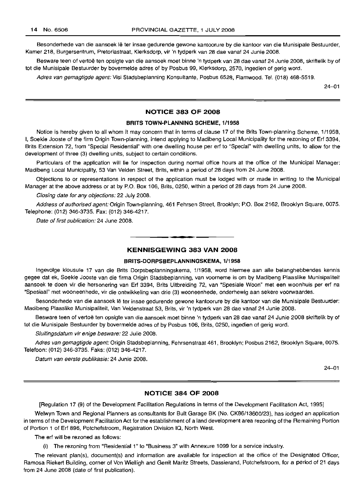Besonderhede van die aansoek lê ter insae gedurende gewone kantoorure by die kantoor van die Munisipale Bestuurder, Kamer 218, Burgersentrum, Pretoriastraat, Klerksdorp, vir 'n tydperk van 28 dae vanaf 24 Junie 2008.

Besware teen of vertoë ten opsigte van die aansoek moet binne 'n tydperk van 28 dae vanaf 24 Junie 2008, skriftelik by of tot die Munisipale Bestuurder by bovermelde adres of by Posbus 99, Klerksdorp, 2570, ingedien of gerig word.

Adres van gemagtigde agent: Visi Stadsbeplanning Konsultante, Posbus 6528, Flamwood. Tel. (018) 468-5519.

24-01

## **NOTICE 383 OF 2008**

## **BRITS TOWN-PLANNING SCHEME, 1/1958**

Notice is hereby given to all whom it may concern that in terms of clause 17 of the Brits Town-planning Scheme, 1/1958, I, Soekie Jooste of the firm Origin Town-planning, intend applying to Madibeng Local Municipality for the rezoning of Erf 3394, Brits Extension 72, from "Special Residential" with one dwelling house per erf to "Special" with dwelling units, to allow for the development of three (3) dwelling units, subject to certain conditions.

Particulars of the application will lie for inspection during normal office hours at the office of the Municipal Manager: Madibeng Local Municipality, 53 Van Velden Street, Brits, within a period of 28 days from 24 June 2008.

Objections to or representations in respect of the application must be lodged with or made in writing to the Municipal Manager at the above address or at by P.O. Box 106, Brits, 0250, within a period of 28 days from 24 June 2008.

Closing date for any objections: 22 July 2008.

Address of authorised agent: Origin Town-planning, 461 Fehrsen Street, Brooklyn; P.O. Box 2162, Brooklyn Square, 0075. Telephone: (012) 346-3735. Fax: (012) 346-4217.

Date of first publication: 24 June 2008.

#### **KENNISGEWING 383 VAN 2008**

.**- .**

#### **BRITS-DORPSBEPLANNINGSKEMA, 1/1958**

lngevolge klousule 17 van die Brits Dorpsbeplanningskema, 1/1958, word hiermee aan aile belanghebbendes kennis gegee dat ek, Soekie Jooste van die firma Origin Stadsbeplanning, van voorneme is om by Madibeng Plaaslike Munisipaliteit aansoek te doen vir die hersonering van Erf 3394, Brits Uitbreiding 72, van "Spesiale Woon" met een woonhuis per erf na "Spesiaal" met wooneenhede, vir die ontwikkeling van drie (3) wooneenhede, onderhewig aan sekere voorwaardes.

Besonderhede van die aansoek Ie ter insae gedurende gewone kantoorure by die kantoor van die Munisipale Bestuurder: Madibeng Plaaslike Munisipaliteit, Van Veldenstraat 53, Brits, vir 'n tydperk van 28 dae vanaf 24 Junie 2008.

Besware teen of vertoë ten opsigte van die aansoek moet binne 'n tydperk van 28 dae vanaf 24 Junie 2008 skriftelik by of tot die Munisipale Bestuurder by bovermelde adres of by Posbus 106, Brits, 0250, ingedien of gerig word.

Sluitingsdatum vir enige besware: 22 Julie 2008.

Adres van gemagtigde agent: Origin Stadsbeplanning, Fehrsenstraat 461, Brooklyn; Posbus 2162, Brooklyn Square, 0075. Telefoon: (012) 346-3735. Faks: (012) 346-4217.

Datum van eerste publikasie: 24 Junie 2008.

24-01

## **NOTICE 384 OF 2008**

[Regulation 17 (9) of the Development Facilitation Regulations in terms of the Development Facilitation Act, 1995]

Welwyn Town and Regional Planners as consultants for Bult Garage BK (No. CK86/13600/23), has lodged an application in terms of the Development Facilitation Act for the establishment of a land development area rezoning of the Remaining Portion of Portion 1 of Erf 896, Potchefstroom, Registration Division IQ, North West.

The erf will be rezoned as follows:

(i) The rezoning from "Residential 1" to "Business 3" with Annexure 1099 for a service industry.

The relevant plan(s), document(s) and information are available for inspection at the office of the Designated Officer, Ramosa Riekert Building, corner of Von Wielligh and Gerrit Maritz Streets, Dassierand, Potchefstroom, for a period of 21 days from 24 June 2008 (date of first publication).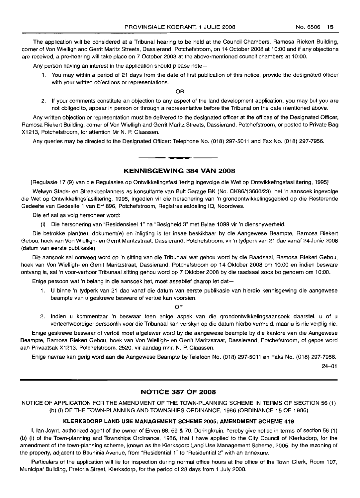The application will be considered at a Tribunal hearing to be held at the Council Chambers, Ramosa Riekert Building, corner of Von Wielligh and Gerrit Maritz Streets, Dassierand, Potchefstroom, on 14 October 2008 at 10:00 and if any objections are received, a pre-hearing will take place on 7 October 2008 at the above-mentioned council chambers at 10:00.

Any person having an interest in the application should please note-

1. You may within a period of 21 days from the date of first publication of this notice, provide the designated officer with your written objections or representations.

OR

2. If your comments constitute an objection to any aspect of the land development application, you may but you are not obliged to, appear in person or through a representative before the Tribunal on the date mentioned above.

Any written objection or representation must be delivered to the designated officer at the offices of the Designated Officer, Ramosa Riekert Building, corner of Von Wielligh and Gerrit Maritz Streets, Dassierand, Potchefstroom, or posted to Private Bag X1213, Potchefstroom, for attention Mr N. P. Claassen.

Any queries may be directed to the Designated Officer: Telephone No. (018) 297-5011 and Fax No. (018) 297-7956. **.-**

## **KENNISGEWING 384 VAN 2008**

[Regulasie 17 (9) van die Regulasies op Ontwikkelingsfasilitering ingevolge die Wet op Ontwikkelingsfasilitering, 1995]

Welwyn Stads- en Streekbeplanners as konsultante van Bult Garage BK (No. CK86/13600/23), het 'n aansoek ingevolge die Wet op Ontwikkelingsfasilitering, 1995, ingedien vir die hersonering van 'n grondontwikkelingsgebied op die Resterende Gedeelte van Gedeelte 1 van Erf 896, Potchefstroom, Registrasieafdeling 10, Noordwes.

Die erf sal as volg hersoneer word:

(i) Die hersonering van "Residensieel 1" na "Besigheid 3" met Bylae 1099 vir 'n diensnywerheid.

Die betrokke plan(ne), dokument(e) en inligting is ter insae beskikbaar by die Aangewese Beampte, Ramosa Riekert Gebou, hoek van Von Wielligh- en Gerrit Maritzstraat, Dassierand, Potchefstroom, vir 'n tydperk van 21 dae vanaf 24 Junie 2008 (datum van eerste publikasie).

Die aansoek sal oorweeg word op 'n sitting van die Tribunaal wat gehou word by die Raadsaal, Ramosa Riekert Gebou, hoek van Von Wielligh- en Gerrit Maritzstraat, Dassierand, Potchefstroom op 14 Oktober 2008 om 10:00 en indien besware ontvang is, sal 'n voor-verhoor Tribunaal sitting gehou word op7 Oktober 2008 by die raadsaal soos bo genoem om 10:00.

Enige persoon wat 'n belang in die aansoek het, moet asseblief daarop let dat-

1. U binne 'n tydperk van 21 dae vanaf die datum van eerste publikasie van hierdie kennisgewing die aangewese beampte van u geskrewe besware of vertoë kan voorsien.

OF

2. Indien u kommentaar 'n beswaar teen enige aspek van die grondontwikkelingsaansoek daarstel, u of u verteenwoordiger persoonlik voor die Tribunaal kan verskyn op die datum hierbo vermeld, maar u is nie verplig nie.

Enige geskrewe beswaar of vertoe moet afgelewer word by die aangewese beampte by die kantore van die Aangewese Beampte, Ramosa Riekert Gebou, hoek van Von Wielligh- en Gerrit Maritzstraat, Dassierand, Potchefstroom, of gepos word aan Privaatsak X1213, Potchefstroom, 2520, vir aandag mnr. N. P. Claassen.

Enige navrae kan gerig word aan die Aangewese Beampte by Telefoon No. (018) 297-5011 en Faks No. (018) 297-7956.

24-01

## **NOTICE 387 OF 2008**

NOTICE OF APPLICATION FOR THE AMENDMENT OF THE TOWN-PLANNING SCHEME IN TERMS OF SECTION 56 (1) (b) (i) OF THE TOWN-PLANNING AND TOWNSHIPS ORDINANCE, 1986 (ORDINANCE 15 OF 1986)

#### **KLERKSDORP LAND USE MANAGEMENT SCHEME** 2005: **AMENDMENT SCHEME 419**

I, Ian Joynt, authorized agent of the owner of Erven 68, 69 & 70, Doringkruin, hereby give notice in terms of section 56 (1) (b) (i) of the Town-planning and Townships Ordinance, 1986, that I have applied to the City Council of Klerksdorp, for the amendment of the town-planning scheme, known as the Klerksdorp Land Use Management Scheme, 2005, by the rezoning of the property, adjacent to Bauhinia Avenue, from "Residential 1" to "Residential 2" with an annexure.

Particulars of the application will lie for inspection during normal office hours at the office of the Town Clerk, Room 107, Municipal Building, Pretoria Street, Klerksdorp, for the period of 28 days from 1 July 2008.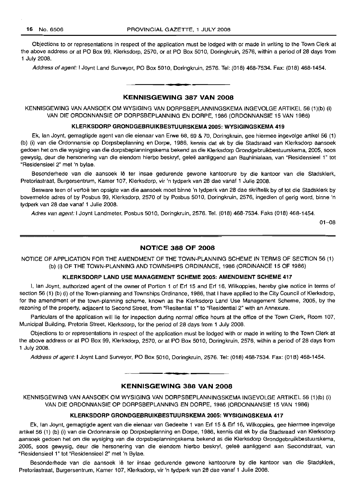$\lambda$ 

Objections to or representations in respect of the application must be lodged with or made in writing to the Town Clerk at the above address or at PO Box 99, Klerksdorp, 2570, or at PO Box 5010, Doringkruin, 2576, within a period of 28 days from 1 July 2008.

Address of agent: I Joynt Land Surveyor, PO Box 5010, Doringkruin, 2576. Tel: (018) 468-7534. Fax: (018) 468-1454.

### **KENNISGEWING 387 VAN 2008**

**• •**

KENNISGEWING VAN AANSOEK OM WYSIGING VAN DORPSBEPLANNINGSKEMA INGEVOLGE ARTIKEL 56 (1)(b) (i) VAN DIE ORDONNANSIE OP DORPSBEPLANNING EN DORPE, 1986 (ORDONNANSIE 15 VAN 1986)

#### **KLERKSDORP GRONDGEBRUIKBESTUURSKEMA 2005: WYSIGINGSKEMA 419**

Ek, Ian Joynt, gemagtigde agent van die eienaar van Erwe 68, 69 & 70, Doringkruin, gee hiermee ingevolge artikel 56 (1) (b) (i) van die Ordonnansie op Dorpsbeplanning en Dorpe, 1986, kennis dat ek by die Stadsraad van Klerksdorp aansoek gedoen het om die wysiging van die dorpsbeplanningskema bekend as die Klerksdorp Grondgebruikbestuurskema, 2005, soos gewysig, deur die hersonering van die eiendom hierbo beskryf, gelee aanliggend aan Bauhinialaan, van "Residensieel 1" tot "Residensieel 2" met 'n bylae.

Besonderhede van die aansoek lê ter insae gedurende gewone kantoorure by die kantoor van die Stadsklerk, Pretoriastraat, Burgersentrum, Kamer 107, Klerksdorp, vir 'n tydperk van 28 dae vanaf 1 Julie 2008.

Besware teen of vertoë ten opsigte van die aansoek moet binne 'n tydperk van 28 dae skriftelik by of tot die Stadsklerk by bovermelde adres of by Posbus 99, Klerksdorp, 2570 of by Posbus 5010, Doringkruin, 2576, ingedien of gerig word, binne 'n tydperk van 28 dae vanaf 1 Julie 2008.

Adres van agent: I Joynt Landmeter, Posbus 5010, Doringkruin, 2576. Tel. (018) 468-7534. Faks (018) 468-1454.

01-08

## **NOTICE 388 OF 2008**

NOTICE OF APPLICATION FOR THE AMENDMENT OF THE TOWN-PLANNING SCHEME IN TERMS OF SECTION 56 (1) (b) (i) OF THE TOWN-PLANNING AND TOWNSHIPS ORDINANCE, 1986 (ORDINANCE 15 OF 1986)

#### **KLERKSDORP LAND USE MANAGEMENT SCHEME 2005: AMENDMENT SCHEME** 417

I, Ian Joynt, authorized agent of the owner of Portion 1 of Erf 15 and Erf 16, Wilkoppies, hereby give notice in terms of section 56 (1) (b) (i) of the Town-planning and Townships Ordinance, 1986, that I have applied to the City Council of Klerksdorp, for the amendment of the town-planning scheme, known as the Klerksdorp Land Use Management Scheme, 2005, by the rezoning of the property, adjacent to Second Street, from "Resitential 1" to "Residential 2" with an Annexure.

Particulars of the application will lie for inspection during normal office hours at the office of the Town Clerk, Room 107, Municipal Building, Pretoria Street, Klerksdorp, for the period of 28 days from 1 July 2008.

Objections to or representations in respect of the application must be lodged with or made in writing to the Town Clerk at the above address or at PO Box 99, Klerksdorp, 2570, or at PO Box 5010, Doringkruin, 2576, within a period of 28 days from 1 July 2008.

Address of agent: I Joynt Land Surveyor, PO Box 5010, Doringkruin, 2576. Tel: (018) 468-7534. Fax: (018) 468-1454.

#### **KENNISGEWING 388 VAN 2008**

**. -**

KENNISGEWING VAN AANSOEK OM WYSIGING VAN DORPSBEPLANNINGSKEMA INGEVOLGE ARTIKEL 56 (1)(b) (i) VAN DIE ORDONNANSIE OP DORPSBEPLANNING EN DORPE, 1986 (ORDONNANSIE 15 VAN 1986)

## **KLERKSDORP GRONDGEBRUIKBESTUURSKEMA 2005: WYSIGINGSKEMA 417**

Ek, Ian Joynt, gemagtigde agent van die eienaar van Gedeelte 1 van Erf 15 & Erf 16, Wilkoppies, gee hiermee ingevolge artikel 56 (1) (b) (i) van die Ordonnansie op Dorpsbeplanning en Dorpe, 1986, kennis dat ek by die Stadsraad van Klerksdorp aansoek gedoen het om die wysiging van die dorpsbeplanningskema bekend as die Klerksdorp Grondgebruikbestuurskema, 2005, soos gewysig, deur die hersonering van die eiendom hierbo beskryf, gelee aanliggend aan Secondstraat, van "Residensieel 1" tot "Residensieel 2" met 'n Bylae.

Besonderhede van die aansoek lê ter insae gedurende gewone kantoorure by die kantoor van die Stadsklerk, Pretoriastraat, Burgersentrum, Kamer 107, Klerksdorp, vir 'n tydperk van 28 dae vanaf 1 Julie 2008.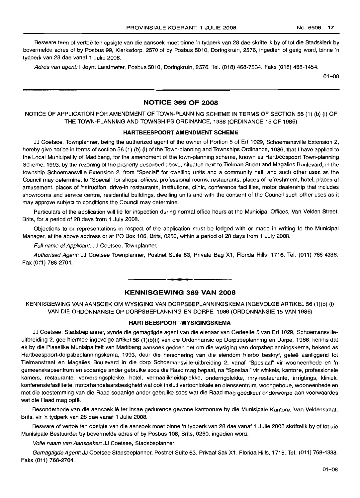Besware teen of vertoë ten opsigte van die aansoek moet binne 'n tydperk van 28 dae skriftelik by of tot die Stadsklerk by bovermelde adres of by Posbus 99, Klerksdorp, 2570 of by Posbus 5010, Doringkruin, 2576, ingedien of gerig word, binne 'n tydperk van 28 dae vanaf 1 Julie 2008.

Adres van agent: I Joynt Landmeter, Posbus 5010, Doringkruin, 2576. Tel. (018) 468-7534. Faks (018) 468-1454.

 $01 - 08$ 

## **NOTICE 389 OF 2008**

NOTICE OF APPLICATION FOR AMENDMENT OF TOWN-PLANNING SCHEME IN TERMS OF SECTION 56 (1) (b) (i) OF THE TOWN-PLANNING AND TOWNSHIPS ORDINANCE, 1986 (ORDINANCE 15 OF 1986)

#### **HARTBEESPOORT AMENDMENT SCHEME**

JJ Coetsee, Townplanner, being the authorized agent of the owner of Portion 5 of Erf 1029, Schoemansville Extension 2, hereby give notice in terms of section 56 (1) (b) (i) of the Town-planning and Townships Ordinance, 1986, that I have applied to the Local Municipality of Madibeng, for the amendment of the town-planning scheme, known as Hartbeespoort Town-planning Scheme, 1993, by the rezoning of the property described above, situated next to Tielman Street and Magalies Boulevard, in the township Schoemansville Extension 2, from "Special" for dwelling units and a community hall, and such other uses as the Council may determine, to "Special" for shops, offices, professional rooms, restaurants, places of refreshment, hotel, places of amusement, places of instruction, drive-in restaurants, institutions, clinic, conference facilities, motor dealership that includes showrooms and service centre, residential buildings, dwelling units and with the consent of the Council such other uses as it may approve subject to conditions the Council may determine.

Particulars of the application will lie for inspection during normal office hours at the Municipal Offices, Van Velden Street, Brits, for a period of 28 days from 1 July 2008.

Objections to or representations in respect of the application must be lodged with or made in writing to the Municipal Manager, at the above address or at PO Box 106, Brits, 0250, within a period of 28 days from 1 July 2008.

Full name of Applicant: JJ Coetsee, Townplanner.

Authorised Agent: JJ Coetsee Townplanner, Postnet Suite 63, Private Bag X1, Florida Hills, 1716. Tel. (011) 768-4338. Fax (011) 768-2704.

## **KENNISGEWING 389 VAN 2008**

**• n**

KENNISGEWING VAN AANSOEK OM WYSIGING VAN DORPSBEPLANNINGSKEMA INGEVOLGE ARTIKEL 56 (1)(b) (i) VAN DIE ORDONNANSIE OP DORPSBEPLANNING EN DORPE, 1986 (ORDONNANSIE 15 VAN 1986)

#### **HARTBEESPOORT-WYSIGINGSKEMA**

JJ Coetsee, Stadsbeplanner, synde die gemagtigde agent van die eienaar van Gedeelte 5 van Erf 1029, Schoemansvilleuitbreiding 2, gee hiermee ingevolge artikel 56 (1)(b)(i) van die Ordonnansie op Dorpsbeplanning en Dorpe, 1986, kennis dat ek by die Plaaslike Munisipaliteit van Madibeng aansoek gedoen het om die wysiging van dorpsbeplanningskema, bekend as Hartbeespoort-dorpsbeplanningskema, 1993, deur die hersonering van die eiendom hierbo beskryf, geleë aanliggend tot Tielmanstraat en Magalies Boulevard in die dorp Schoemansville-uitbreiding 2, vanaf "Spesiaal" vir wooneenhede en 'n gemeenskapsentrum en sodanige ander gebruike soos die Raad mag bepaal, na "Spesiaal" vir winkels, kantore, professionele kamers, restaurante, verversingsplekke, hotel, vermaalikheidsplekke, onderrigplekke, inry-restaurante, inrigtings, kliniek, konferensiefasiliteite, motorhandelaarsbesigheid wat ook insluit vertoonlokale en dienssentrum, woongeboue, wooneenhede en met die toestemming van die Raad sodanige ander gebruike 5005 wat die Raad mag goedkeur onderworpe aan voorwaardes wat die Raad mag oplê.

Besonderhede van die aansoek Ie ter insae gedurende gewone kantoorure by die Munisipale Kantore, Van Veldenstraat, Brits, vir 'n tydperk van 28 dae vanaf 1 Julie 2008.

Besware of vertoë ten opsigte van die aansoek moet binne 'n tydperk van 28 dae vanaf 1 Julie 2008 skriftelik by of tot die Munisipale Bestuurder by bovermelde adres of by Posbus 106, Brits, 0250, ingedien word.

Volle naam van Aansoeker: JJ Coetsee, Stadsbeplanner.

Gemagtigde Agent: JJ Coetsee Stadsbeplanner, Postnet Suite 63, Privaat Sak X1, Florida Hills, 1716. Tel. (011) 768-4338. Faks (011) 768-2704.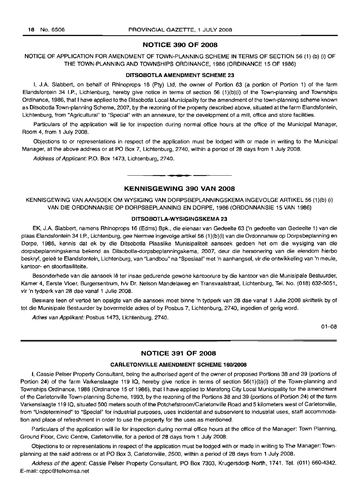## **NOTICE 390 OF 2008**

## NOTICE OF APPLICATION FOR AMENDMENT OF TOWN-PLANNING SCHEME IN TERMS OF SECTION 56 (1) (b) (i) OF THE TOWN-PLANNING AND TOWNSHIPS ORDINANCE, 1986 (ORDINANCE 15 OF 1986)

#### **DITSOBOTLA AMENDMENT SCHEME 23**

I, J.A. Slabbert, on behalf of Rhinoprops 16 (Pty) Ltd, the owner of Portion 63 (a portion of Portion 1) of the farm Elandsfontein 34 I.P., Lichtenburg, hereby give notice in terms of section 56 (1)(b)(i) of the Town-planning and Townships Ordinance, 1986, that I have applied to the Ditsobotla Local Municipality for the amendment of the town-planning scheme known as Ditsobotla Town-planning Scheme, 2007, by the rezoning of the property described above, situated at the farm Elandsfontein, Lichtenburg, from "Agricultural" to "Special" with an annexure, for the development of a mill, office and store facilities.

Particulars of the application will lie for inspection during normal office hours at the office of the Municipal Manager, Room 4, from 1 July 2008.

Objections to or representations in respect of the application must be lodged with or made in writing to the Municipal Manager, at the above address or at PO Box 7, Lichtenburg, 2740, within a period of 28 days from 1 July 2008.

Address of Applicant: P.O. Box 1473, Lichtenburg, 2740.

## **KENNISGEWING 390 VAN 2008**

.**- .**

KENNISGEWING VAN AANSOEK OM WYSIGING VAN DORPSBEPLANNINGSKEMA INGEVOLGE ARTIKEL 56 (1)(b) (i) VAN DIE ORDONNANSIE OP DORPSBEPLANNING EN DORPE, 1986 (ORDONNANSIE 15 VAN 1986)

#### **DITSOBOTLA-WYSIGINGSKEMA 23**

EK, JA Siabbert, namens Rhinoprops 16 (Edms) Bpk., die eienaar van Gedeelte 63 ('n gedeelte van Gedeelte 1) van die plaas Elandsfontein 34 I.P., Lichtenburg, gee hiermee ingevolge artikel 56 (1)(b)(i) van die Ordonnansie op Dorpsbeplanning en Dorpe, 1986, kennis dat ek by die Ditsobotla Plaaslike Munisipaliteit aansoek gedoen het om die wysiging van die dorpsbeplanningskema bekend as Ditsobotla-dorpsbeplanningskema, 2007, deur die hersonering van die eiendom hierbo beskryf, gelee te Elandsfontein, Lichtenburg, van "Landbou" na "Spesiaal" met 'n aanhangsel, vir die ontwikkeling van 'n meule, kantoor- en stoorfasiliteite.

Besonderhede van die aansoek lê ter insae gedurende gewone kantoorure by die kantoor van die Munisipale Bestuurder, Kamer 4, Eerste Vloer, Burgersentrum, hlv Dr. Nelson Mandelaweg en Transvaalstraat, Lichtenburg, Tel. No. (018) 632-5051, vir 'n tydperk van 28 dae vanaf 1 Julie 2008.

Besware teen of vertoë ten opsigte van die aansoek moet binne 'n tydperk van 28 dae vanaf 1 Julie 2008 skriftelik by of tot die Munisipale Bestuurder by bovermelde adres of by Posbus 7, Lichtenburg, 2740, ingedien of gerig word.

Adres van Applikant: Posbus 1473, Lichtenburg, 2740.

 $01 - 08$ 

## **NOTICE 391 OF 2008**

### **CARLETONVILLE AMENDMENT SCHEME** 160/2008

I, Cassie Peiser Property Consultant, being the authorised agent of the owner of proposed Portions 38 and 39 (portions of Portion 24) of the farm Varkenslaagte 119 IQ, hereby give notice in terms of section 56(1)(b)(i) of the Town-planning and Townships Ordinance, 1986 (Ordinance 15 of 1986), that I have applied to Merafong City Local Municipality for the amendment of the Carletonville Town-planning Scheme, 1993, by the rezoning of the Portions 38 and 39 (portions of Portion 24) of the farm Varkenslaagte 119 IQ, situated 500 meters south of the Potchefstroom/Carletonville Road and 5 kilometers west of Carletonville, from "Undetermined" to "Special" for industrial purposes, uses incidental and subservient to industrial uses, staff accommodation and place of refreshment in order to use the property for the uses as mentioned.

Particulars of the application will lie for inspection during normal office hours at the office of the Manager: Town Planning, Ground Floor, Civic Centre, Carletonville, for a period of 28 days from 1 July 2008.

Objections to or representations in respect of the application must be lodged with or made in writing to The Manager: Townplanning at the said address or at PO Box 3, Carletonville, 2500, within a period of 28 days from 1 July 2008.

Address of the agent: Cassie Peiser Property Consultant, PO Box 7303, Krugersdorp North, 1741. Tel. (011) 660-4342. E-mail: cppc@telkomsa.net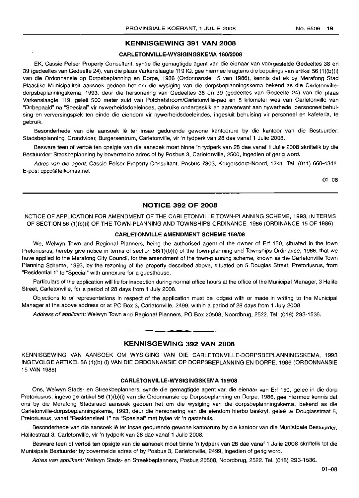#### KENNISGEWING 391 VAN 2008

### CARLETONVILLE-WYSIGINGSKEMA 160/2008

EK, Cassie Peiser Property Consultant, synde die gemagtigde agent van die eienaar van voorgestelde Gedeeltes 38 en 39 (gedeeltes van Gedeelte 24), van die plaas Varkenslaagte 11910, gee hiermee kragtens die bepalings van artikel56 (1)(b)(i) van die Ordonnansie op Dorpsbeplanning en Dorpe, 1986 (Ordonnansie 15 van 1986), kennis dat ek by Merafong Stad Plaaslike Munisipaliteit aansoek gedoen het om die wysiging van die dorpsbeplanningskema bekend as die Carletonvilledorpsbeplanningskema, 1993, deur die hersonering van Gedeeltes 38 en 39 (gedeeltes van Gedeelte 24) van die plaas Varkenslaagte 119, gelee 500 meter suid van Potchefstroom/Carletonville-pad en 5 kilometer wes van Carletonville van "Onbepaald" na "Spesiaal" vir nywerheidsdoeleindes, gebruike ondergeskik en aanverwant aan nywerhede, persooneelbehuising en verversingsplek ten einde die eiendom vir nywerheidsdoeleindes, ingesluit behuising vir personeel en kafeteria, te gebruik.

Besonderhede van die aansoek lê ter insae gedurende gewone kantoorure by die kantoor van die Bestuurder: Stadsbeplanning, Grondvloer, Burgersentrum, Carletonville, vir 'n tydperk van 28 dae vanaf 1 Julie 2008.

Besware teen of vertoë ten opsigte van die aansoek moet binne 'n tydperk van 28 dae vanaf 1 Julie 2008 skriftelik by die Bestuurder: Stadsbeplanning by bovermelde adres of by Posbus 3, Carletonville, 2500, ingedien of gerig word.

Adres van die agent: Cassie Peiser Property Consultant, Posbus 7303, Krugersdorp-Noord, 1741. Tel. (011) 660-4342. E-pos: cppc@telkomsa.net

01-08

## NOTICE 392 OF 2008

NOTICE OF APPLICATION FOR AMENDMENT OF THE CARLETONVILLE TOWN-PLANNING SCHEME, 1993, IN TERMS OF SECTION 56 (1)(b)(i) OF THE TOWN-PLANNING AND TOWNSHIPS ORDINANCE, 1986 (ORDINANCE 15 OF 1986)

#### CARLETONVILLE AMENDMENT SCHEME 159/08

We, Welwyn Town and Regional Planners, being the authorised agent of the owner of Erf 150, situated in the town Pretoriusrus, hereby give notice in terms of section 56(1)(b)(i) of the Town-planning and Townships Ordinance, 1986, that we have applied to the Merafong City Council, for the amendment of the town-planning scheme, known as the Carletonville Town Planning Scheme, 1993, by the rezoning of the property described above, situated on 5 Douglas Street, Pretoriusrus, from "Residential 1" to "Special" with annexure for a guesthouse.

Particulars of the application will lie for inspection during normal office hours at the office of the Municipal Manager, 3 Halite Street, Carletonville, for a period of 28 days from 1 July 2008.

Objections to or representations in respect of the application must be lodged with or made in writing to the Municipal Manager at the above address or at PO Box 3, Carletonville, 2499, within a period of 28 days from 1 July 2008.

Address of applicant: Welwyn Town and Regional Planners, PO Box 20508, Noordbrug, 2522. Tel. (018) 293-1536.

### KENNISGEWING 392 VAN 2008

**•**

KENNISGEWING VAN AANSOEK OM WYSIGING VAN DIE CARLETONVILLE-DORPSBEPLANNINGSKEMA, 1993 INGEVOLGE ARTIKEL 56 (1)(b) (i) VAN DIE ORDONNANSIE OP DORPSBEPLANNING EN DORPE, 1986 (ORDONNANSIE 15 VAN 1986)

#### CARLETONVILLE-WYSIGINGSKEMA 159/08

Ons, Welwyn Stads- en Streekbeplanners, synde die gemagtigde agent van die eienaar *van* Erf 150, gelee in die dorp Pretoriusrus, ingevolge artikel 56 (1)(b)(i) van die Ordonnansie op Dorpsbeplanning en Dorpe, 1986, gee hiermee kennis dat ons by die Merafong Stadsraad aansoek gedoen het om die wysiging van die dorpsbeplanningskema, bekend as die Carletonville-dorpsbeplanningskema, 1993, deur die hersonering van die eiendom hierbo beskryf, gelee te Douglasstraat 5, Pretoriusrus, vanaf "Residensieel 1" na "Spesiaal" met bylae vir 'n gastehuis.

Besonderhede van die aansoek lê ter insae gedurende gewone kantoorure by die kantoor van die Munisipale Bestuurder, Halitestraat 3, Carletonville, vir 'n tydperk van 28 dae vanaf 1 Julie 2008.

Besware teen of vertos ten opsigte van die aansoek moet binne 'n tydperk *van* 28 dae vanaf 1 Julie 2008 skriftelik tot die Munisipale Bestuurder by bovermelde adres of by Posbus 3, Carletonville, 2499, ingedien of gerig word.

Adres van applikant: Welwyn Stads- en Streekbeplanners, Posbus 20508, Noordbrug, 2522. Tel. (018) 293-1536.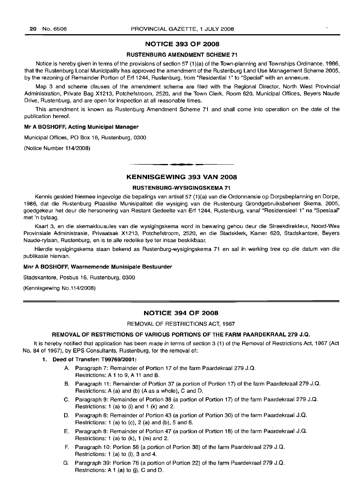## NOTICE 393 OF 2008

#### RUSTENBURG AMENDMENT SCHEME 71

Notice is hereby given in terms of the provisions of section 57 (1)(a) of the Town-planning and Townships Ordinance, 1986, that the Rustenburg Local Municipality has approved the amendment of the Rustenburg Land Use Management Scheme 2005, by the rezoning of Remainder Portion of Erf 1244, Rustenburg, from "Residential 1" to "Special" with an annexure.

Map 3 and scheme clauses of the amendment scheme are filed with the Regional Director, North West Provincial Administration, Private Bag X1213, Potchefstroom, 2520, and the Town Clerk, Room 620, Municipal Offices, Beyers Naude Drive, Rustenburg, and are open for inspection at all reasonable times.

This amendment is known as Rustenburg Amendment Scheme 71 and shall come into operation on the date of the publication hereof.

#### Mr A BOSHOFF, Acting Municipal Manager

Municipal Offices, PO Box 16, Rustenburg, 0300

(Notice Number 114/2008)

## **•** KENNISGEWING 393 VAN 2008

#### RUSTENBURG-WYSIGINGSKEMA 71

Kennis geskied hiermee ingevolge die bepalings van artikel 57 (1)(a) van die Ordonnansie op Dorpsbeplanning en Dorpe, 1986, dat die Rustenburg Plaaslike Munisipaliteit die wysiging van die Rustenburg Grondgebruiksbeheer Skema, 2005, goedgekeur het deur die hersonering van Restant Gedeelte van Erf 1244, Rustenburg, vanaf "Residensieel 1" na "Spesiaal" met 'n bylaag.

Kaart 3, en die skemaklousules van die wysigingskema word in bewaring gehou deur die Streekdirekteur, Noord-Wes Provinsiale Administrasie, Privaatsak X1213, Potchefstroom, 2520, en die Stadsklerk, Kamer 620, Stadskantore, Beyers Naude-rylaan, Rustenburg, en is te aile redelike tye ter insae beskikbaar.

Hierdie wysigingskema staan bekend as Rustenburg-wysigingskema 71 en sal in werking tree op die datum van die publikasie hlervan.

#### Mnr A BOSHOFF, Waarnemende Munisipale Bestuurder

Stadskantore, Posbus 16, Rustenburg, 0300

(Kennisgewing No.114/2008)

## NOTICE 394 OF 2008

REMOVAL OF RESTRICTIONS ACT, 1967

#### REMOVAL OF RESTRICTIONS OF VARIOUS PORTIONS OF THE FARM PAARDEKRAAL 279 J.Q.

It is hereby notified that application has been made in terms of section 3 (1) of the Removal of Restrictions Act, 1967 (Act No. 84 of 1967), by EPS Consultants, Rustenburg, for the removal of:

#### 1. Deed of Transfer: T99769/2001:

- A. Paragraph 7: Remainder of Portion 17 of the farm Paardekraal 279 J.Q. Restrictions: A 1 to 9, A11 and B.
- B. Paragraph 11: Remainder of Portion 37 (a portion of Portion 17) of the farm Paardekraal 279 J.Q. Restrictions: A (a) and (b) (A as a whole), C and D.
- C. Paragraph 9: Remainder of Portion 38 (a portion of Portion 17) of the farm Paardekraal 279 J.Q. Restrictions: 1 (a) to (i) and 1 (k) and 2.
- D. Paragraph 6: Remainder of Portion 43 (a portion of Portion 30) of the farm Paardekraal J.Q. Restrictions: 1 (a) to (c), 2 (a) and (b), 5 and 6.
- E. Paragraph 8: Remainder of Portion 47 (a portion of Portion 18) of the farm Paardekraal J.Q. Restrictions: 1 (a) to (k), 1 (m) and 2.
- F. Paragraph 10: Portion 56 (a portion of Portion 38) of the farm Paardekraal 279 J.Q. Restrictions: 1 (a) to (i), 3 and 4.
- G. Paragraph 39: Portion 76 (a portion of Portion 22) of the farm Paardekraal 279 J.Q. Restrictions: A 1 (a) to (i), C and D.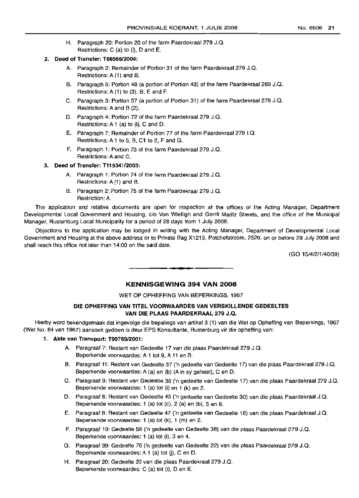H. Paragraph 20: Portion 20 of the farm Paardekraal 279 J.Q. Restrictions: C (a) to (i), D and E.

## 2. Deed of Transfer: T66566/2004:

- A. Paragraph 2: Remainder of Portion 31 of the farm Paardekraal 279 J.Q. Restrictions: A (1) and B.
- B. Paragraph 5: Portion 48 (a portion of Portion 43) of the farm Paardekraal 269 J.Q. Restrictions: A (1) to (3), B, E and F.
- C. Paragraph 3: Portion 57 (a portion of Portion 31) of the farm Paardekraal 279 J.Q. Restrictions: A and B (2).
- D. Paragraph 4: Portion 72 of the farm Paardekraal 279 J.Q. Restrictions: A 1 (a) to (i), C and D.
- E. Paragraph 7: Remainder of Portion 77 of the farm Paardekraal 279 I.Q. Restrictions: A 1 to 5, B, C1 to 2, F and G.
- F. Paragraph 1: Portion 73 of the farm Paardekraal 279 J.Q. Restrictions: A and C.

## 3. Deed of Transfer: T115341/2003:

- A. Paragraph 1: Portion 74 of the farm Paardekraal 279 J.Q. Restrictions: A (1) and B.
- B. Paragraph 2: Portion 75 of the farm Paardekraal 279 J.Q. Restriction: A.

The application and relative documents are open for inspection at the offices of the Acting Manager, Department Developmental Local Government and Housing, c/o Von Wielligh and Gerrit Maritz Streets, and the office of the Municipal Manager, Rustenburg Local Municipality for a period of 28 days from 1 July 2008.

Objections to the application may be lodged in writing with the Acting Manager, Department of Developmental Local Government and Housing at the above address or to Private Bag X1213, Potchefstroom, 2520, on or before 29 July 2008 and shall reach this office not later than 14:00 on the said date.

(GO 15/4/2/1/40/39)

## KENNISGEWING 394 VAN 2008

**• •**

## WET OP OPHEFFING VAN BEPERKINGS, 1967

## DIE OPHEFFING VAN TITEL VOORWAARDES VAN VERSKILLENDE GEDEELTES VAN DIE PLAAS PAARDEKRAAL 279 J.Q.

Hierby word bekendgemaak dat ingevolge die bepalings van artikel 3 (1) van die Wet op Opheffing van Beperkings, 1967 (Wet No. 84 van 1967) aansoek gedoen is deur EPS Konsultante, Rustenburg vir die opheffing van:

#### 1. Akte van Transport: T99769/2001:

- A. Paragraaf 7: Restant van Gedeelte 17 van die plaas Paardekraal 279 J.Q. Beperkende voorwaardes: A 1 tot 9, A 11 en B.
- B. Paragraaf 11: Restant van Gedeelte 37 ('n gedeelte van Gedeelte 17) van die plaas Paardekraal 279 J.Q. Beperkende voorwaardes: A (a) en (b) (A in sy geheel), C en D.
- C. Paragraaf 9: Restant van Gedeelte 38 ('n gedeelte van Gedeelte 17) van die plaas Paardekraal 279 J.Q. Beperkende voorwaardes: 1 (a) tot (i) en 1 (k) en 2.
- D. Paragraaf 6: Restant van Gedeelte 43 ('n gedeelte van Gedeelte 30) van die plaas Paardekraal J.Q. Beperkende voorwaardes: 1 (a) tot (c), 2 (a) en (b), 5 en 6.
- E. Paragraaf 8: Restant van Gedeelte 47 ('n gedeelte van Gedeelte 18) van die plaas Paardekraal J.Q. Beperkende voorwaardes: 1 (a) tot (k), 1 (m) en 2.
- F. Paragraaf 10: Gedeelte 56 ('n gedeelte van Gedeelte 38) van die plaas Paardekraal 279 J.Q. Beperkende voorwaardes: 1 (a) tot (i), 3 en 4.
- G. Paragraaf 39: Gedeelte 76 ('n gedeelte van Gedeelte 22) van die plaas Paardekraal 279 J.Q. Beperkende voorwaardes: A 1 (a) tot (j), C en D.
- H. Paragraaf 20: Gedeelte 20 van die plaas Paardekraal 279 J.Q. Beperkende voorwaardes: C (a) tot (i), D en E.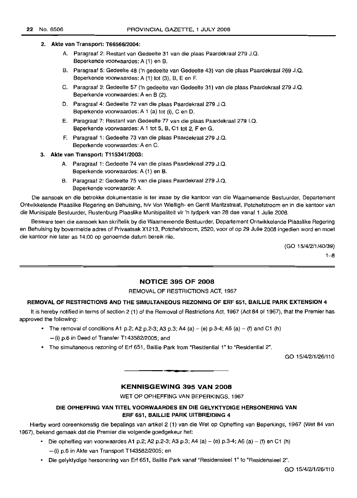#### 2. Akte van Transport: T66566/2004:

- A. Paragraaf 2: Restant van Gedeelte 31 van die plaas Paardekraal 279 J.Q. Beperkende voorwaardes: A (1) en B.
- B. Paragraaf 5: Gedeelte 48 ('n gedeelte van Gedeelte 43) van die plaas Paardekraal 269 J.Q. Beperkende voorwaardes: A (1) tot (3), B, E en F.
- C. Paragraaf 3: Gedeelte 57 ('n gedeelte van Gedeelte 31) van die plaas Paardekraal 279 J.Q. Beperkende voorwaardes: A en B (2).
- D. Paragraaf 4: Gedeelte 72 van die plaas Paardekraal 279 J.Q. Beperkende voorwaardes: A 1 (a) tot (i), C en D.
- E. Paragraaf 7: Restant van Gedeelte 77 van die plaas Paardekraal 279 I.Q. Beperkende voorwaardes: A 1 tot 5, B, C1 tot 2, F en G.
- F. Paragraaf 1: Gedeelte 73 van die plaas Paardekraal 279 J.Q. Beperkende voorwaardes: A en C.

### 3. Akte van Transport: T115341/2003:

- A. Paragraaf 1: Gedeelte 74 van die plaas Paardekraal 279 J.Q. Beperkende voorwaardes: A (1) en B.
- B. Paragraaf 2: Gedeelte 75 van die plaas Paardekraal 279 J.Q. Beperkende voorwaarde: A.

Die aansoek en die betrokke dokumentasie is ter insae by die kantoor van die Waarnemende Bestuurder, Departement Ontwikkelende Plaaslike Regering en Behuising, h/v Von Wielligh- en Gerrit Maritzstraat, Potchefstroom en in die kantoor van die Munisipale Bestuurder, Rustenburg Plaaslike Munisipaliteit vir 'n tydperk van 28 dae vanaf 1 Julie 2008.

Besware teen die aansoek kan skriftelik by die Waarnemende Bestuurder, Departement Ontwikkelende Plaaslike Regering en Behuising by bovermelde adres of Privaatsak X1213, Potchefstroom, 2520, voor of op 29 Julie 2008 ingedien word en moet die kantoor nie later as 14:00 op genoemde datum bereik nie.

(GO 15/4/2/1/40/39)

 $1 - 8$ 

## NOTICE 395 OF 2008

REMOVAL OF RESTRICTIONS ACT, 1967

## REMOVAL OF RESTRICTIONS AND THE SIMULTANEOUS REZONING OF ERF 651, BAILLIE PARK EXTENSION 4

It is hereby notified in terms of section 2 (1) of the Removal of Restrictions Act, 1967 (Act 84 of 1967), that the Premier has approved the following:

- The removal of conditions A1 p.2; A2 p.2-3; A3 p.3; A4 (a) (e) p.3-4; A6 (a) (f) and C1 (h)  $-$ (i) p.6 in Deed of Transfer T143582/2005; and
- The simultaneous rezoning of Erf 651, Baillie Park from "Residential 1" to "Residential 2".

GO 15/4/2/1/26/110

## KENNISGEWING 395 VAN 2008

**••**

WET OP OPHEFFING VAN BEPERKINGS, 1967

## DIE OPHEFFING VAN TITEL VOORWAARDES EN DIE GELYKTYDIGE HERSONERING VAN ERF 651, BAILLIE PARK U1TBREIDING 4

Hierby word ooreenkomstig die bepalings van artikel 2 (1) van die Wet op Opheffing van Beperkings, 1967 (Wet 84 van 1967), bekend gemaak dat die Premier die volgende goedgekeur het:

• Die opheffing van voorwaardes A1 p.2; A2 p.2-3; A3 p.3; A4 (a) – (e) p.3-4; A6 (a) – (f) en C1 (h)

-(i) p.6 in Akte van Transport T14358212005; en

• Die gelyktydige hersonering van Erf 651, Baillie Park vanaf "ResidensieeI1" to "Residensieel 2".

GO 15/4/211/26/110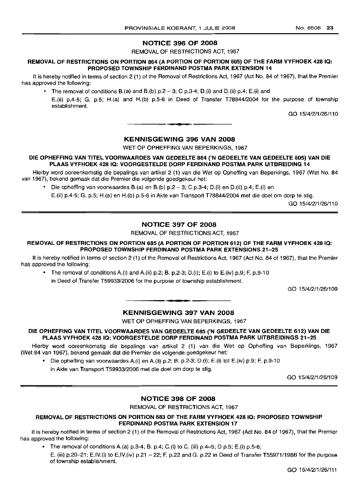## NOTICE 396 OF 2008

REMOVAL OF RESTRICTIONS ACT, 1967

### REMOVAL OF RESTRICTIONS ON PORTION 864 (A PORTION OF PORTION 605) OF THE FARM VYFHOEK 428 IQ: PROPOSED TOWNSHIP FERDINAND POSTMA PARK EXTENSION 14

It is hereby notified in terms of section 2 (1) of the Removal of Restrictions Act, 1967 (Act No. 84 of 1967), that the Premier has approved the following:

- The removal of conditions B.(a) and B.(b)  $p.2 3$ ; C  $p.3-4$ ; D.(i) and D.(ii)  $p.4$ ; E.(i) and
	- E(ii) pA-5; G. p.5; H.(a) and H.(b) p.5-6 in Deed of Transfer T78844/2004 for the purpose of township establishment.

GO 15/4/2/1/26/110

## KENNISGEWING 396 VAN 2008

.**- .**

WET OP OPHEFFING VAN BEPERKINGS, 1967

#### DIE OPHEFFING VAN TITEL VOORWAARDES VAN GEDEELTE 864 ('N GEDEELTE VAN GEDEELTE 605) VAN DIE PLAAS VYFHOEK 4281Q: VOORGESTELDE DORP FERDINAND POSTMA PARK UITBREIDING 14

Hierby word ooreenkomstig die bepalings van artikel 2 (1) van die Wet op Opheffing van Beperkings, 1967 (Wet No. 84 van 1967), bekend gemaak dat die Premier die volgende goedgekeur het:

• Die opheffing van voorwaardes B.(a) en B.(b)  $p.2 - 3$ ; C  $p.3-4$ ; D.(i) en D.(ii)  $p.4$ ; E.(i) en

E.(ii) pA-5; G. p.5; H.(a) en H.(b) p.5-6 in Akte van Transport T78844/2004 met die doel om dorp te stig.

GO 15/4/2/1/26/110

## NOTICE 397 OF 2008

REMOVAL OF RESTRICTIONS ACT, 1967

## REMOVAL OF RESTRICTIONS ON PORTION 685 (A PORTION OF PORTION 612) OF THE FARM VYFHOEK 4281Q: PROPOSED TOWNSHIP FERDINAND POSTMA PARK EXTENSIONS 21-25

It is hereby notified in terms of section 2 (1) of the Removal of Restrictions Act, 1967 (Act No. 84 of 1967), that the Premier has approved the following:

• The removal of conditions A.(i) and A.(ii) p.2; B. p.2-3; D.(i); E.(i) to E.(iv) p.9; F. p.9-10 in Deed of Transfer T59933/2006 for the purpose of township establishment.

GO 15/4/2/1/26/109

## KENNISGEWING 397 VAN 2008

**1\_.**

WET OP OPHEFFING VAN BEPERKINGS, 1967

DIE OPHEFFING VAN TITEL VOORWAARDES VAN GEDEELTE 685 ('N GEDEELTE VAN GEDEELTE 612) VAN DIE PLAAS VYFHOEK 428 IQ: VOORGESTELDE DORP FERDINAND POSTMA PARK UITBREIDINGS 21-25

Hierby word ooreenkomstig die bepalings van artikel 2 (1) van die Wet op Opheffing van Beperkings, 1967 (Wet 84 van 1967), bekend gemaak dat die Premier die volgende goedgekeur het:

- Die opheffing van voorwaardes A.(i) en A.(ii) p.2; B. p.2-3; D.(i); E.(i) tot E.(iv) p.9; F. p.9-10
	- in Akte van Transport T59933/2006 met die doel om dorp te stig.

GO 15/4/2/1/26/109

## NOTICE 398 OF 2008

REMOVAL OF RESTRICTIONS ACT, 1967

## REMOVAL OF RESTRICTIONS ON PORTION 883 OF THE FARM VYFHOEK 428 IQ: PROPOSED TOWNSHIP FERDINAND POSTMA PARK EXTENSION 17

It is hereby notified in terms of section 2 (1) of the Removal of Restrictions Act, 1967 (Act No. 84 of 1967), that the Premier has approved the following:

• The removal of conditions A.(a)  $p.3-4$ ; B.  $p.4$ ; C.(i) to C. (iii)  $p.4-5$ ; D  $p.5$ ; E.(i)  $p.5-6$ ; E. (iii) p.20-21; E.IV.(i) to E.IV.(iv) p.21 - 22; F. p.22 and G. p.22 in Deed of Transfer T55971/1986 for the purpose of township establishment.

GO 15/4/2/1/26/111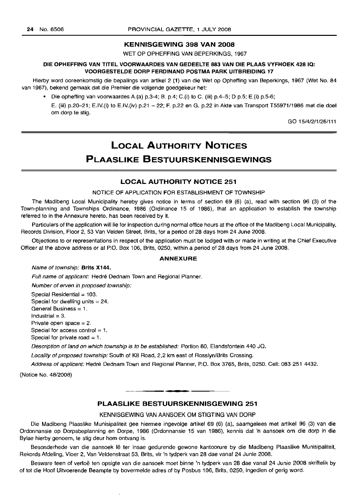## **KENNISGEWING 398 VAN 2008**

WET OP OPHEFFING VAN BEPERKINGS, 1967

#### **DIE OPHEFFING VAN TITEL VOORWAARDES VAN GEDEELTE 883 VAN DIE PLAAS VYFHOEK 428 10: VOORGESTELDE DORP FERDINAND POSTMA PARK UITBREIDING 17**

Hierby word ooreenkomstig die bepalings van artikel 2 (1) van die Wet op Opheffing van Beperkings, 1967 (Wet No. 84 van 1967), bekend gemaak dat die Premier die volgende goedgekeur het:

• Die opheffing van voorwaardes A.(a) p.3-4; B. p.4; C.(i) to C. (iii) p.4-5; D p.5; E.(i) p.5-6;

E. (iii) p.2Q-21; E.IV.(i) to E.IV.(iv) p.21 - 22; F. p.22 en G. p.22 in Akte van Transport T55971/1986 met die doel om dorp te stig.

GO 15/4/2/1/26/111

# **LOCAL AUTHORITY NOTICES PLAASLIKE BESTUURSKENNISGEWINGS**

## **LOCAL AUTHORITY NOTICE 251**

NOTICE OF APPLICATION FOR ESTABLISHMENT OF TOWNSHIP

The Madibeng Local Municipality hereby gives notice in terms of section 69 (6) (a), read with section 96 (3) of the Town-planning and Townships Ordinance, 1986 (Ordinance 15 of 1986), that an application to establish the township referred to in the Annexure hereto, has been received by it.

Particulars of the application will lie for inspection during normal office hours at the office of the Madibeng Local Municipality, Records Division, Floor 2, 53 Van Velden Street, Brits, for a period of 28 days from 24 June 2008.

Objections to or representations in respect of the application must be lodged with or made in writing at the Chief Executive Officer at the above address or at P.O. Box 106, Brits, 0250, within a period of 28 days from 24 June 2008.

#### **ANNEXURE**

#### Name of township: **Brits X144.**

Full name of applicant: Hedré Dednam Town and Regional Planner.

Number of erven in proposed township:

Special Residential  $=103$ .

Special for dwelling units  $=24$ .

General Business = 1.

Industrial  $=3$ .

Private open space =2.

Special for access control  $= 1$ . Special for private road  $=1$ .

Description of land on which township is to be established: Portion 80, Elandsfontein 440 JQ.

Locality of proposed township: South of K8 Road, 2,2 km east of Rosslyn/Brits Crossing.

Address of applicant: Hedré Dednam Town and Regional Planner, P.O. Box 3765, Brits, 0250. Cell: 083 251 4432.

(Notice No. 48/2008)

## **PLAASLIKE BESTUURSKENNISGEWING 251**

**•**

KENNISGEWING VAN AANSOEK OM STIGTING VAN DORP

Die Madibeng Plaaslike Munisipaliteit gee hiermee ingevolge artikel 69 (6) (a), saamgelees met artikel 96 (3) van die Ordonnansie op Dorpsbeplanning en Dorpe, 1986 (Ordonnansie 15 van 1986), kennis dat 'n aansoek om die dorp in die Bylae hierby genoem, te stig deur hom ontvang is.

Besonderhede van die aansoek lê ter insae gedurende gewone kantoorure by die Madibeng Plaaslike Munisipaliteit, Rekords Afdeling, Vloer 2, Van Veldenstraat 53, Brits, vir 'n tydperk van 28 dae vanaf 24 Junie 2008.

Besware teen of vertoë ten opsigte van die aansoek moet binne 'n tydperk van 28 dae vanaf 24 Junie 2008 skriftelik by of tot die Hoof Uitvoerende Beampte by bovermelde adres of by Posbus 106, Brits, 0250, ingedien of gerig word.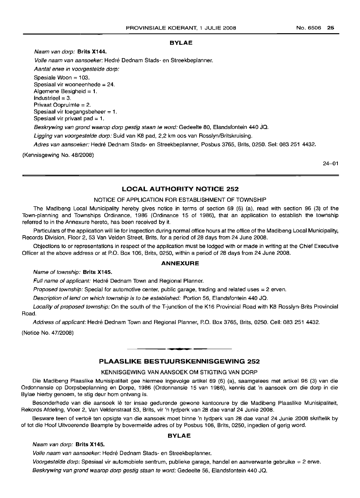No.6506 **25**

#### **BYLAE**

Naam van dorp: **Brits X144.**

Volle naam van aansoeker: Hedré Dednam Stads- en Streekbeplanner.

Aantal erwe in voorgestelde dorp:

Spesiale Woon = 103. Spesiaal vir wooneenhede = 24. Aigemene Besigheid = 1.  $Industried = 3.$ Privaat Oopruimte = 2. Spesiaal vir toegangsbeheer = 1. Spesiaal vir privaat pad  $= 1$ .

Beskrywing van grand waarop dorp gestig staan te word: Gedeelte 80, Elandsfontein 440 JQ.

Ligging van voorgestelde dorp: Suid van K8 pad, 2,2 km oos van Rosslyn/Britskruising.

Adres van aansoeker: Hedre Dednam Stads- en Streekbeplanner, Posbus 3765, Brits, 0250. Sel: 083 251 4432.

(Kennisgewing No. 48/2008)

24-01

## **LOCAL AUTHORITY NOTICE 252**

## NOTICE OF APPLICATION FOR ESTABLISHMENT OF TOWNSHIP

The Madibeng Local Municipality hereby gives notice in terms of section 69 (6) (a), read with section 96 (3) of the Town-planning and Townships Ordinance, 1986 (Ordinance 15 of 1986), that an application to establish the township referred to in the Annexure hereto, has been received by it.

Particulars of the application will lie for inspection during normal office hours at the office of the Madibeng Local Municipality, Records Division, Floor 2, 53 Van Velden Street, Brits, for a period of 28 days from 24 June 2008.

Objections to or representations in respect of the application must be lodged with or made in writing at the Chief Executive Officer at the above address or at P.O. Box 106, Brits, 0250, within a period of 28 days from 24 June 2008.

## **ANNEXURE**

Name of township: **Brits X145.**

Full name of applicant: Hedré Dednam Town and Regional Planner.

Proposed township: Special for automotive center, public garage, trading and related uses = 2 erven.

Description of land on which township is to be established: Portion 56, Elandsfontein 440 JQ.

Locality of proposed township: On the south of the T-junction of the K16 Provincial Road with K8 Rosslyn-Brits Provincial Road.

Address of applicant: Hedré Dednam Town and Regional Planner, P.O. Box 3765, Brits, 0250. Cell: 083 251 4432.

**• •**

(Notice No. 47/2008)

## **PLAASLIKE BESTUURSKENNISGEWING 252**

## KENNISGEWING VAN AANSOEK OM STIGTING VAN DORP

Die Madibeng Plaaslike Munisipaliteit gee hiermee ingevolge artikel 69 (6) (a), saamgelees met artikel 96 (3) van die Ordonnansie op Dorpsbeplanning en Darpe, 1986 (Ordonnansie 15 van 1986), kennis dat 'n aansoek om die dorp in die Bylae hierby genoem, te stig deur hom ontvang is.

Besonderhede van die aansoek Iê ter insae gedurende gewone kantoorure by die Madibeng Plaaslike Munisipaliteit, Rekords Afdeling, Vloer 2, Van Veldenstraat 53, Brits, vir 'n tydperk van 28 dae vanaf 24 Junie 2008.

Besware teen of vertoë ten opsigte van die aansoek moet binne 'n tydperk van 28 dae vanaf 24 Junie 2008 skriftelik by of tot die Hoof Uitvoerende Beampte by bovermelde adres of by Posbus 106, Brits, 0250, ingedien of gerig word.

## **BYLAE**

## Naam van dorp: **Brits X145.**

Volle naam van aansoeker: Hedré Dednam Stads- en Streekbeplanner.

Voorgestelde dorp: Spesiaal vir automobiele sentrum, publieke garage, handel en aanverwante gebruike = 2 erwe.

Beskrywing van grond waarop dorp gestig staan te word: Gedeelte 56, Elandsfontein 440 JQ.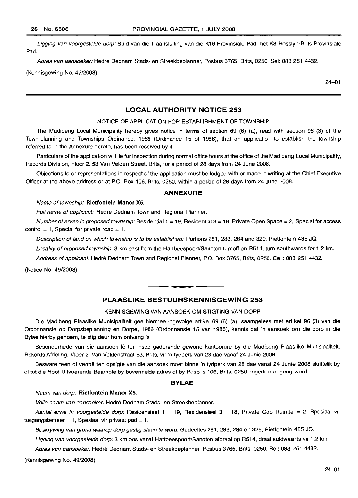Ligging van voorgestelde dorp: Suid van die T-aansluiting van die K16 Provinsiale Pad met K8 Rosslyn-Brits Provinsiale Pad.

Adres van aansoeker: Hedre Dednam Stads- en Streekbeplanner, Posbus 3765, Brits, 0250. Sel: 083 251 4432.

(Kennisgewing No. 47/2008)

24-01

#### LOCAL AUTHORITY NOTICE 253

#### NOTICE OF APPLICATION FOR ESTABLISHMENT OF TOWNSHIP

The Madibeng Local Municipality hereby gives notice in terms of section 69 (6) (a), read with section 96 (3) of the Town-planning and Townships Ordinance, 1986 (Ordinance 15 of 1986), that an application to establish the township referred to in the Annexure hereto, has been received by it.

Particulars of the application will lie for inspection during normal office hours at the office of the Madibeng Local Municipality, Records Division, Floor 2, 53 Van Velden Street, Brits, for a period of 28 days from 24 June 2008.

Objections to or representations in respect of the application must be lodged with or made in writing at the Chief Executive Officer at the above address or at P.O. Box 106, Brits, 0250, within a period of 28 days from 24 June 2008.

### ANNEXURE

#### Name of township: Rietfontein Manor X5.

Full name of applicant: Hedré Dednam Town and Regional Planner.

Number of erven in proposed township: Residential  $1 = 19$ , Residential  $3 = 18$ , Private Open Space = 2, Special for access control = 1, Special for private road = 1.

Description of land on which township is to be established: Portions 281,283, 284 and 329, Rietfontein 485 JQ.

Locality of proposed township: 3 km east from the Hartbeespoort/Sandton turnoff on R514, turn southwards for 1,2 km.

Address of applicant: Hedré Dednam Town and Regional Planner, P.O. Box 3765, Brits, 0250. Cell: 083 251 4432.

(Notice No. 49/2008)

## **-** PLAASLIKE BESTUURSKENNISGEWING <sup>253</sup>

## KENNISGEWING VAN AANSOEK OM STIGTING VAN DORP

Die Madibeng Plaaslike Munisipaliteit gee hiermee ingevolge artikel 69 (6) (a), saamgelees met artikel 96 (3) van die Ordonnansie op Dorpsbeplanning en Dorpe, 1986 (Ordonnansie 15 van 1986), kennis dat 'n aansoek om die dorp in die Bylae hierby genoem, te stig deur hom ontvang is.

Besonderhede van die aansoek lê ter insae gedurende gewone kantoorure by die Madibeng Plaaslike Munisipaliteit, Rekords Afdeling, Vloer 2, Van Veldenstraat 53, Brits, vir 'n tydperk van 28 dae vanaf 24 Junie 2008.

Besware teen of vertoe ten opsigte van die aansoek moet binne 'n tydperk van 28 dae vanaf 24 Junie 2008 skriftelik by of tot die Hoof Uitvoerende Beampte by bovermelde adres of by Posbus 106, Brits, 0250, ingedien of gerig word.

#### BYLAE

#### Naam van dorp: Rietfontein Manor X5.

Volle naam van aansoeker: Hedré Dednam Stads- en Streekbeplanner.

Aantal erwe in voorgestelde dorp: Residensieel  $1 = 19$ , Residensieel  $3 = 18$ , Private Oop Ruimte = 2, Spesiaal vir toegangsbeheer = 1, Spesiaal vir privaat pad = 1.

Beskrywing van grond waarop dorp gestig staan te word: Gedeeltes 281, 283, 284 en 329, Rietfontein 485 JQ.

Ligging van voorgestelde dorp: 3 km oos vanaf Hartbeespoort/Sandton afdraai op R514, draai suidwaarts vir 1,2 km.

Adres van aansoeker: Hedré Dednam Stads- en Streekbeplanner, Posbus 3765, Brits, 0250. Sel: 083 251 4432.

(Kennisgewing No. 49/2008)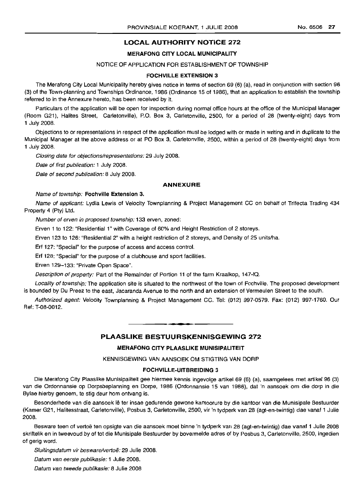## LOCAL AUTHORITY NOTICE 272

### MERAFONG CITY LOCAL MUNICIPALITY

## NOTICE OF APPLICATION FOR ESTABLISHMENT OF TOWNSHIP

#### FOCHVILLE EXTENSION 3

The Merafong City Local Municipality hereby gives notice in terms of section 69 (6) (a), read in conjunction with section 96 (3) of the Town-planning and Townships Ordinance, 1986 (Ordinance 15 of 1986), that an application to establish the township referred to in the Annexure hereto, has been received by it.

Particulars of the application will be open for inspection during normal office hours at the office of the Municipal Manager (Room G21), Halites Street, Carletonville), P.O. Box 3, Carletonville, 2500, for a period of 28 (twenty-eight) days from 1 July 2008.

Objections to or representations in respect of the application must be lodged with or made in writing and in duplicate to the Municipal Manager at the above address or at PO Box 3, Carletonville, 2500, within a period of 28 (twenty-eight) days from 1 July 2008.

Closing date for objections/representations: 29 July 2008.

Date of first publication: 1 July 2008.

Date of second publication: 8 July 2008.

#### ANNEXURE

#### Name of township: Fochville Extension 3.

Name of applicant: Lydia Lewis of Velocity Townplanning & Project Management CC on behalf of Trifecta Trading 434 Property 4 (Pty) Ltd.

Number of erven in proposed township: 133 erven, zoned:

Erven 1 to 122: "Residential 1" with Coverage of 60% and Height Restriction of 2 storeys.

Erven 123 to 126: "Residential 2" with a height restriction of 2 storeys, and Density of 25 units/ha.

Erf 127: "Special" for the purpose of access and access control.

Erf 128: "Special" for the purpose of a clubhouse and sport facilities.

Erven 129-133: "Private Open Space".

Description of property: Part of the Remainder of Portion 11 of the farm Kraalkop, 147-10.

Locality of township: The application site is situated to the northwest of the town of Fochville. The proposed development is bounded by Du Preez to the east, Jacaranda Avenue to the north and an extension of Vermeulen Street to the south.

Authorized agent: Velocity Townplanning & Project Management CC. Tel: (012) 997-0579. Fax: (012) 997-1760. Our Ref: T-08-0012.

PLAASLIKE BESTUURSKENNISGEWING 272

.**-.**

## MERAFONG CITY PLAASLIKE MUNISIPALITEIT

KENNISGEWING VAN AANSOEK OM STIGTING VAN DORP

## FOCHVILLE-UITBREIDING 3

Die Merafong City Plaaslike Munisipaliteit gee hiermee kennis ingevolge artikel 69 (6) (a), saamgelees met artikel 96 (3) van die Ordonnansie op Dorpsbeplanning en Dorpe, 1986 (Ordonnansie 15 van 1986), dat 'n aansoek om die dorp in die Bylae hierby genoem, te stig deur hom ontvang is.

Besonderhede van die aansoek lê ter insae gedurende gewone kantoorure by die kantoor van die Munisipale Bestuurder (Kamer G21, Halitesstraat, Carletonville), Posbus 3, Carletonville, 2500, vir 'n tydperk van 28 (agt-en-twintig) dae vanaf 1 Julie 2008.

Besware teen of vertoe ten opsigte van die aansoek moet binne 'n tydperk van 28 (agt-en-twintig) dae vanaf 1 Julie 2008 skriftelik en in tweevoud by of tot die Munisipale Bestuurder by bovermelde adres of by Posbus 3, Carletonville, 2500, ingedien of gerig word.

Sluitingsdatum vir besware/vertoë: 29 Julie 2008.

Datum van eerste publikasie: 1 Julie 2008.

Datum van tweede publikasie: 8 Julie 2008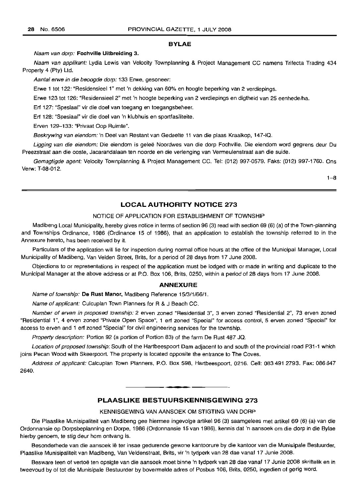#### **BYLAE**

Naam van dorp: Fochville Uitbreiding 3.

Naam van applikant: Lydia Lewis van Velocity Townplanning & Project Management CC namens Trifecta Trading 434 Property 4 (Pty) Ltd.

Aantal erwe in die beoogde dorp: 133 Erwe, gesoneer:

Erwe 1 tot 122: "Residensieel 1" met 'n dekking van 60% en hoogte beperking van 2 verdiepings.

Erwe 123 tot 126: "Residensieel 2" met 'n hoogte beperking van 2 verdiepings en digtheid van 25 eenhede/ha.

Erf 127: "Spesiaal" vir die doel van toegang en toegangsbeheer.

Erf 128: "Spesiaal" vir die doel van 'n klubhuis en sportfasiliteite.

Erven 129-133: "Privaat Oop Ruimte".

Beskrywing van eiendom: 'n Deel van Restant van Gedeelte 11 van die plaas Kraalkop, 147-IQ.

Ligging van die eiendom: Die eiendom is geleë Noordwes van die dorp Fochville. Die eiendom word gegrens deur Du Preezstraat aan die ooste, Jacarandalaan ten noorde en die verlenging van Vermeulenstraat aan die suide.

Gemagtigde agent: Velocity Townplanning & Project Management CC. Tel: (012) 997-0579. Faks: (012) 997-1760. Ons Verw: T-08-012.

1-8

## **LOCAL AUTHORITY NOTICE** 273

#### NOTICE OF APPLICATION FOR ESTABLISHMENT OF TOWNSHIP

Madibeng Local Municipality, hereby gives notice in terms of section 96 (3) read with section 69 (6) (a) of the Town-planning and Townships Ordinance, 1986 (Ordinance 15 of 1986), that an application to establish the township referred to in the Annexure hereto, has been received by it.

Particulars of the application will lie for inspection during normal office hours at the office of the Municipal Manager, Local Municipality of Madibeng, Van Velden Street, Brits, for a period of 28 days from 17 June 2008.

Objections to or representations in respect of the application must be lodged with or made in writing and duplicate to the Municipal Manager at the above address or at P.O. Box 106, Brits, 0250, within a period of 28 days from 17 June 2008.

### **ANNEXURE**

Name of township: De Rust Manor, Madibeng Reference 15/3/1/66/1.

Name of applicant: Culcuplan Town Planners for R & J Beach CC.

Number of erven in proposed township: 2 erven zoned "Residential 3", 3 erven zoned "Residential 2", 73 erven zoned "Residential 1", 4 erven zoned "Private Open Space", 1 erf zoned "Special" for access control, 5 erven zoned "Special" for access to erven and 1 erf zoned "Special" for civil engineering services for the township.

Property description: Portion 92 (a portion of Portion 83) of the farm De Rust 487 JO.

Location of proposed township: South of the Hartbeespoort Dam adjacent to and south of the provincial road P31-1 which joins Pecan Wood with Skeerpoort. The property is located opposite the entrance to The Coves.

Address of applicant: Calcuplan Town Planners, P.O. Box 598, Hartbeespoort, 0216. Cell: 083 491 2793. Fax: 086 647 2640.

## **PLAASLIKE BESTUURSKENNISGEWING** 273

**•**

#### KENNISGEWING VAN AANSOEK OM STIGTING VAN DORP

Die Plaaslike Munisipaliteit van Madibeng gee hiermee ingevolge artikel 96 (3) saamgelees met artikel 69 (6) (a) van die Ordonnansie op Dorpsbeplanning en Dorpe, 1986 (Ordonnansie 15 van 1986), kennis dat 'n aansoek om die dorp in die Bylae hierby genoem, te stig deur hom ontvang is.

Besonderhede van die aansoek Ie ter insae gedurende gewone kantoorure by die kantoor van die Munisipale Bestuurder, Plaaslike Munisipaliteit van Madibeng, Van Veldenstraat, Brits, vir 'n tydperk van 28 dae vanaf 17 Junie 2008.

Besware teen of vertoë ten opsigte van die aansoek moet binne 'n tydperk van 28 dae vanaf 17 Junie 2008 skriftelik en in tweevoud by of tot die Munisipale Bestuurder by bovermelde adres of Posbus 106, Brits, 0250, ingedien of gerig word.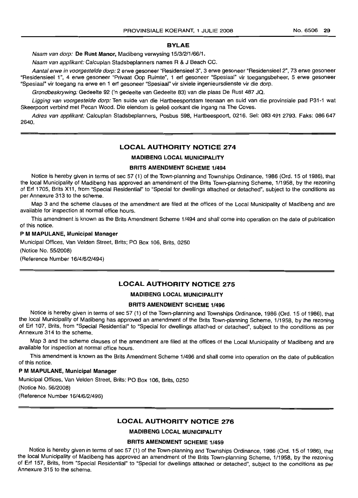#### **BYLAE**

Naam van dorp: **De Rust Manor,** Madibeng verwysing 15/3/2/1/66/1.

Naam van applikant: Calcuplan Stadsbeplanners names R & J Beach CC.

Aantal erwe in voorgestelde dorp: 2 erwe gesoneer "Residensieel 3", 3 erwe gesoneer "Residensieel 2", 73 erwe gesoneer "Residensieel 1", 4 erwe gesoneer "Privaat Oop Ruimte", 1 erf gesoneer "Spesiaal" vir toegangsbeheer, 5 erwe gesoneer "Spesiaal" vir toegang na erwe en 1 erf gesoneer "Spesiaal" vir siviele ingenieursdienste vir die dorp.

Grondbeskrywing: Gedeelte 92 ('n gedeelte van Gedeelte 83) van die plaas De Rust 487 JQ.

Ligging van voorgestelde dorp: Ten suide van die Hartbeesportdam teenaan en suid van die provinsiale pad P31-1 wat Skeerpoort verbind met Pecan Wood. Die eiendom is geleë oorkant die ingang na The Coves.

Adres van applikant: Calcuplan Stadsbeplanners, Posbus 598, Hartbeespoort, 0216. Sel: 0834912793. Faks: 086647 2640.

#### **LOCAL AUTHORITY NOTICE 274**

### **MADIBENG LOCAL MUNICIPALITY**

#### **BRITS AMENDMENT SCHEME 1/494**

Notice is hereby given in terms of sec 57 (1) of the Town-planning and Townships Ordinance, 1986 (Ord. 15 of 1986), that the local Municipality of Madibeng has approved an amendment of the Brits Town-planning Scheme, 1/1958, by the rezoning of Erf 1705, Brits X11, from "Special Residential" to "Special for dwellings attached or detached", subject to the conditions as per Annexure 313 to the scheme.

Map 3 and the scheme clauses of the amendment are filed at the offices of the Local Municipality of Madibeng and are available for inspection at normal office hours.

This amendment is known as the Brits Amendment Scheme 1/494 and shall come into operation on the date of publication of this notice.

#### P **M MAPULANE, Municipal Manager**

Municipal Offices, Van Velden Street, Brits; PO Box 106, Brits, 0250

(Notice No. 55/2008)

(Reference Number 16/4/6/2/494)

## **LOCAL AUTHORITY NOTICE 275**

## **MADIBENG LOCAL MUNICIPALITY**

## **BRITS AMENDMENT SCHEME 1/496**

Notice is hereby given in terms of sec 57 (1) of the Town-planning and Townships Ordinance, 1986 (Ord. 15 of 1986), that the local Municipality of Madibeng has approved an amendment of the Brits Town-planning Scheme, 1/1958, by the rezoning of Erf 107, Brits, from "Special Residential" to "Special for dwellings attached or detached", subject to the conditions as per Annexure 314 *to* the scheme.

Map 3 and the scheme clauses of the amendment are filed *at* the offices of the Local Municipality of Madibeng and are available for inspection at normal office hours.

This amendment is known as the Brits Amendment Scheme 1/496 and shall come into operation on the date of publication of this notice.

### P **M MAPULANE, Municipal Manager**

Municipal Offices, Van Velden Street, Brits; PO Box 106, Brits, 0250 (Notice No. 56/2008) (Reference Number 16/4/6/2/496)

### **LOCAL AUTHORITY NOTICE 276**

## **MADIBENG LOCAL MUNICIPALITY**

## **BRITS AMENDMENT SCHEME 1/459**

Notice is hereby given in terms of sec 57 (1) of the Town-planning and Townships Ordinance, 1986 (Ord. 15 of 1986), that the local Municipality of Madibeng has approved an amendment of the Brits Town-planning Scheme, 1/1958, by the rezoning of Erf 157, Brits, from "Special Residential" to "Special for dwellings attached or detached", subject *to* the conditions as per Annexure 315 to the scheme.